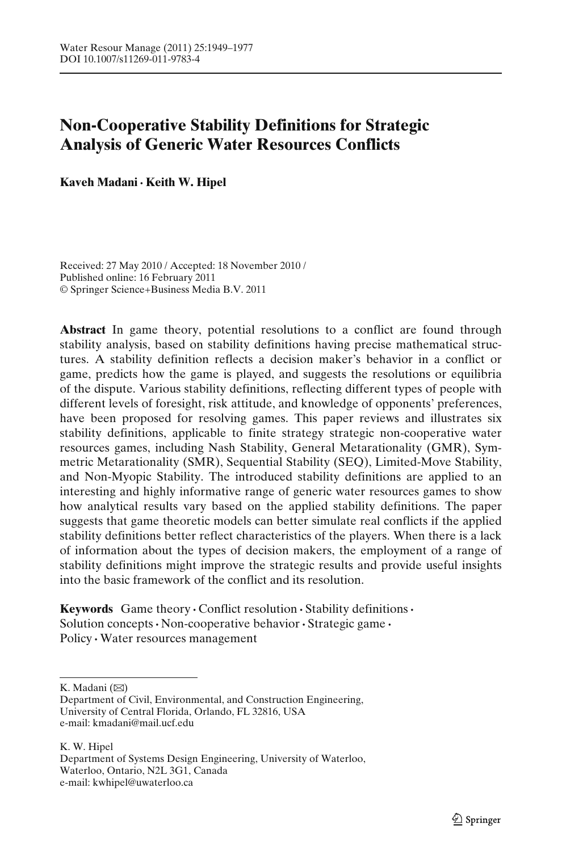# **Non-Cooperative Stability Definitions for Strategic Analysis of Generic Water Resources Conflicts**

**Kaveh Madani· Keith W. Hipel**

Received: 27 May 2010 / Accepted: 18 November 2010 / Published online: 16 February 2011 © Springer Science+Business Media B.V. 2011

**Abstract** In game theory, potential resolutions to a conflict are found through stability analysis, based on stability definitions having precise mathematical structures. A stability definition reflects a decision maker's behavior in a conflict or game, predicts how the game is played, and suggests the resolutions or equilibria of the dispute. Various stability definitions, reflecting different types of people with different levels of foresight, risk attitude, and knowledge of opponents' preferences, have been proposed for resolving games. This paper reviews and illustrates six stability definitions, applicable to finite strategy strategic non-cooperative water resources games, including Nash Stability, General Metarationality (GMR), Symmetric Metarationality (SMR), Sequential Stability (SEQ), Limited-Move Stability, and Non-Myopic Stability. The introduced stability definitions are applied to an interesting and highly informative range of generic water resources games to show how analytical results vary based on the applied stability definitions. The paper suggests that game theoretic models can better simulate real conflicts if the applied stability definitions better reflect characteristics of the players. When there is a lack of information about the types of decision makers, the employment of a range of stability definitions might improve the strategic results and provide useful insights into the basic framework of the conflict and its resolution.

**Keywords** Game theory **·** Conflict resolution **·** Stability definitions**·** Solution concepts**·** Non-cooperative behavior**·** Strategic game **·** Policy **·**Water resources management

K. Madani  $(\boxtimes)$ 

K. W. Hipel

Department of Civil, Environmental, and Construction Engineering, University of Central Florida, Orlando, FL 32816, USA e-mail: kmadani@mail.ucf.edu

Department of Systems Design Engineering, University of Waterloo, Waterloo, Ontario, N2L 3G1, Canada e-mail: kwhipel@uwaterloo.ca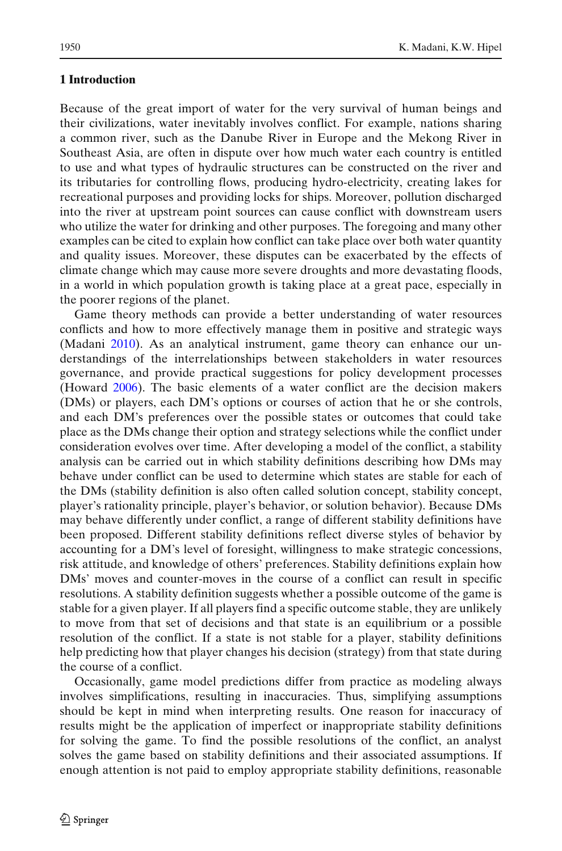### **1 Introduction**

Because of the great import of water for the very survival of human beings and their civilizations, water inevitably involves conflict. For example, nations sharing a common river, such as the Danube River in Europe and the Mekong River in Southeast Asia, are often in dispute over how much water each country is entitled to use and what types of hydraulic structures can be constructed on the river and its tributaries for controlling flows, producing hydro-electricity, creating lakes for recreational purposes and providing locks for ships. Moreover, pollution discharged into the river at upstream point sources can cause conflict with downstream users who utilize the water for drinking and other purposes. The foregoing and many other examples can be cited to explain how conflict can take place over both water quantity and quality issues. Moreover, these disputes can be exacerbated by the effects of climate change which may cause more severe droughts and more devastating floods, in a world in which population growth is taking place at a great pace, especially in the poorer regions of the planet.

Game theory methods can provide a better understanding of water resources conflicts and how to more effectively manage them in positive and strategic ways (Madan[i](#page-27-0) [2010\)](#page-27-0). As an analytical instrument, game theory can enhance our understandings of the interrelationships between stakeholders in water resources governance, and provide practical suggestions for policy development processes (Howar[d](#page-26-0) [2006\)](#page-26-0). The basic elements of a water conflict are the decision makers (DMs) or players, each DM's options or courses of action that he or she controls, and each DM's preferences over the possible states or outcomes that could take place as the DMs change their option and strategy selections while the conflict under consideration evolves over time. After developing a model of the conflict, a stability analysis can be carried out in which stability definitions describing how DMs may behave under conflict can be used to determine which states are stable for each of the DMs (stability definition is also often called solution concept, stability concept, player's rationality principle, player's behavior, or solution behavior). Because DMs may behave differently under conflict, a range of different stability definitions have been proposed. Different stability definitions reflect diverse styles of behavior by accounting for a DM's level of foresight, willingness to make strategic concessions, risk attitude, and knowledge of others' preferences. Stability definitions explain how DMs' moves and counter-moves in the course of a conflict can result in specific resolutions. A stability definition suggests whether a possible outcome of the game is stable for a given player. If all players find a specific outcome stable, they are unlikely to move from that set of decisions and that state is an equilibrium or a possible resolution of the conflict. If a state is not stable for a player, stability definitions help predicting how that player changes his decision (strategy) from that state during the course of a conflict.

Occasionally, game model predictions differ from practice as modeling always involves simplifications, resulting in inaccuracies. Thus, simplifying assumptions should be kept in mind when interpreting results. One reason for inaccuracy of results might be the application of imperfect or inappropriate stability definitions for solving the game. To find the possible resolutions of the conflict, an analyst solves the game based on stability definitions and their associated assumptions. If enough attention is not paid to employ appropriate stability definitions, reasonable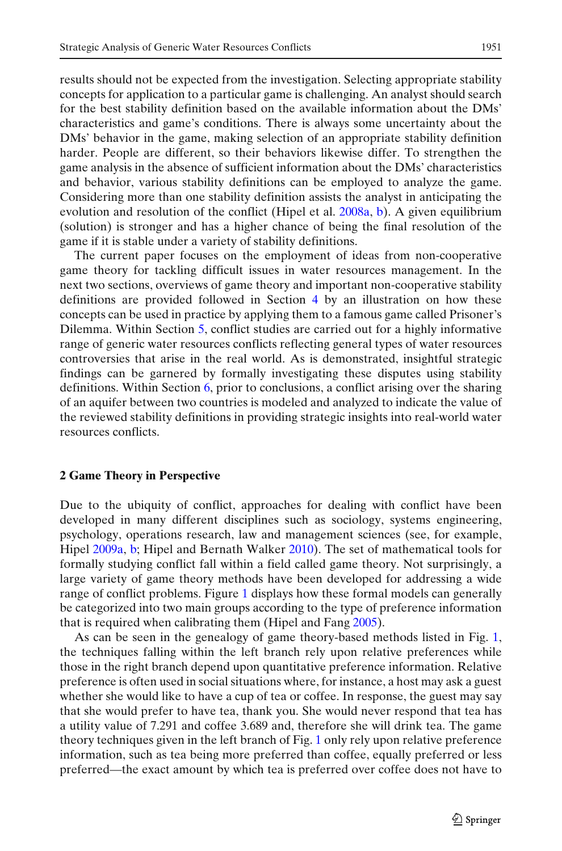results should not be expected from the investigation. Selecting appropriate stability concepts for application to a particular game is challenging. An analyst should search for the best stability definition based on the available information about the DMs' characteristics and game's conditions. There is always some uncertainty about the DMs' behavior in the game, making selection of an appropriate stability definition harder. People are different, so their behaviors likewise differ. To strengthen the game analysis in the absence of sufficient information about the DMs' characteristics and behavior, various stability definitions can be employed to analyze the game. Considering more than one stability definition assists the analyst in anticipating the evolution and resolution of the conflict (Hipel et al[.](#page-26-0) [2008a](#page-26-0), [b\)](#page-26-0). A given equilibrium (solution) is stronger and has a higher chance of being the final resolution of the game if it is stable under a variety of stability definitions.

The current paper focuses on the employment of ideas from non-cooperative game theory for tackling difficult issues in water resources management. In the next two sections, overviews of game theory and important non-cooperative stability definitions are provided followed in Section [4](#page-8-0) by an illustration on how these concepts can be used in practice by applying them to a famous game called Prisoner's Dilemma. Within Section [5,](#page-14-0) conflict studies are carried out for a highly informative range of generic water resources conflicts reflecting general types of water resources controversies that arise in the real world. As is demonstrated, insightful strategic findings can be garnered by formally investigating these disputes using stability definitions. Within Section [6,](#page-20-0) prior to conclusions, a conflict arising over the sharing of an aquifer between two countries is modeled and analyzed to indicate the value of the reviewed stability definitions in providing strategic insights into real-world water resources conflicts.

## **2 Game Theory in Perspective**

Due to the ubiquity of conflict, approaches for dealing with conflict have been developed in many different disciplines such as sociology, systems engineering, psychology, operations research, law and management sciences (see, for example, Hipel [2009a,](#page-26-0) [b;](#page-26-0) Hipel and Bernath Walker [2010](#page-26-0)). The set of mathematical tools for formally studying conflict fall within a field called game theory. Not surprisingly, a large variety of game theory methods have been developed for addressing a wide range of conflict problems. Figure [1](#page-3-0) displays how these formal models can generally be categorized into two main groups according to the type of preference information that is required when calibrating them (Hipel and Fan[g](#page-26-0) [2005](#page-26-0)).

As can be seen in the genealogy of game theory-based methods listed in Fig. [1,](#page-3-0) the techniques falling within the left branch rely upon relative preferences while those in the right branch depend upon quantitative preference information. Relative preference is often used in social situations where, for instance, a host may ask a guest whether she would like to have a cup of tea or coffee. In response, the guest may say that she would prefer to have tea, thank you. She would never respond that tea has a utility value of 7.291 and coffee 3.689 and, therefore she will drink tea. The game theory techniques given in the left branch of Fig. [1](#page-3-0) only rely upon relative preference information, such as tea being more preferred than coffee, equally preferred or less preferred—the exact amount by which tea is preferred over coffee does not have to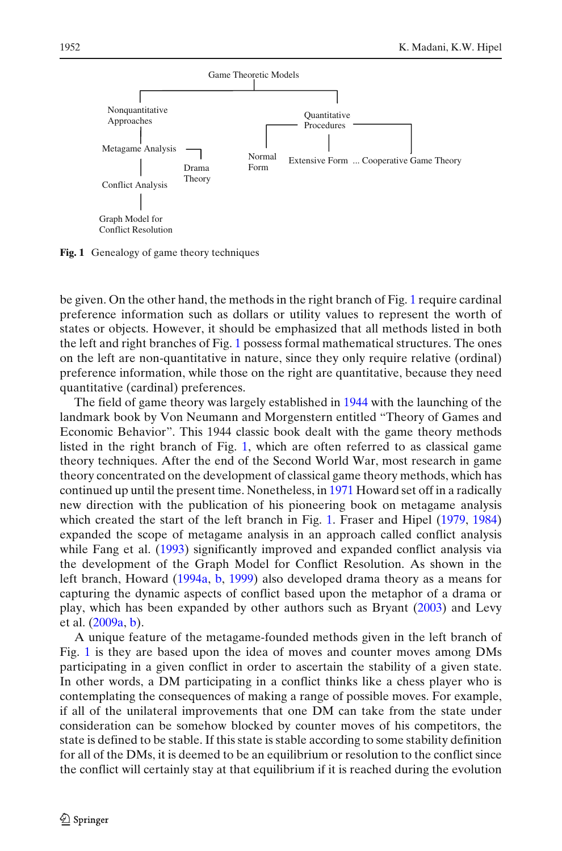<span id="page-3-0"></span>

**Fig. 1** Genealogy of game theory techniques

be given. On the other hand, the methods in the right branch of Fig. 1 require cardinal preference information such as dollars or utility values to represent the worth of states or objects. However, it should be emphasized that all methods listed in both the left and right branches of Fig. 1 possess formal mathematical structures. The ones on the left are non-quantitative in nature, since they only require relative (ordinal) preference information, while those on the right are quantitative, because they need quantitative (cardinal) preferences.

The field of game theory was largely established in [1944](#page-28-0) with the launching of the landmark book by Von Neumann and Morgenstern entitled "Theory of Games and Economic Behavior". This 1944 classic book dealt with the game theory methods listed in the right branch of Fig. 1, which are often referred to as classical game theory techniques. After the end of the Second World War, most research in game theory concentrated on the development of classical game theory methods, which has continued up until the present time. Nonetheless, in [1971](#page-26-0) Howard set off in a radically new direction with the publication of his pioneering book on metagame analysis which created the start of the left branch in Fig. 1. Fraser and Hipe[l](#page-25-0) [\(1979](#page-25-0), [1984\)](#page-25-0) expanded the scope of metagame analysis in an approach called conflict analysis while Fang et al[.](#page-25-0) [\(1993](#page-25-0)) significantly improved and expanded conflict analysis via the development of the Graph Model for Conflict Resolution. As shown in the left branch, Howard [\(1994a,](#page-26-0) [b,](#page-26-0) [1999](#page-26-0)) also developed drama theory as a means for capturing the dynamic aspects of conflict based upon the metaphor of a drama or play, which has been expanded by other authors such as Bryan[t](#page-25-0) [\(2003\)](#page-25-0) and Levy et al. [\(2009a,](#page-27-0) [b\)](#page-27-0).

A unique feature of the metagame-founded methods given in the left branch of Fig. 1 is they are based upon the idea of moves and counter moves among DMs participating in a given conflict in order to ascertain the stability of a given state. In other words, a DM participating in a conflict thinks like a chess player who is contemplating the consequences of making a range of possible moves. For example, if all of the unilateral improvements that one DM can take from the state under consideration can be somehow blocked by counter moves of his competitors, the state is defined to be stable. If this state is stable according to some stability definition for all of the DMs, it is deemed to be an equilibrium or resolution to the conflict since the conflict will certainly stay at that equilibrium if it is reached during the evolution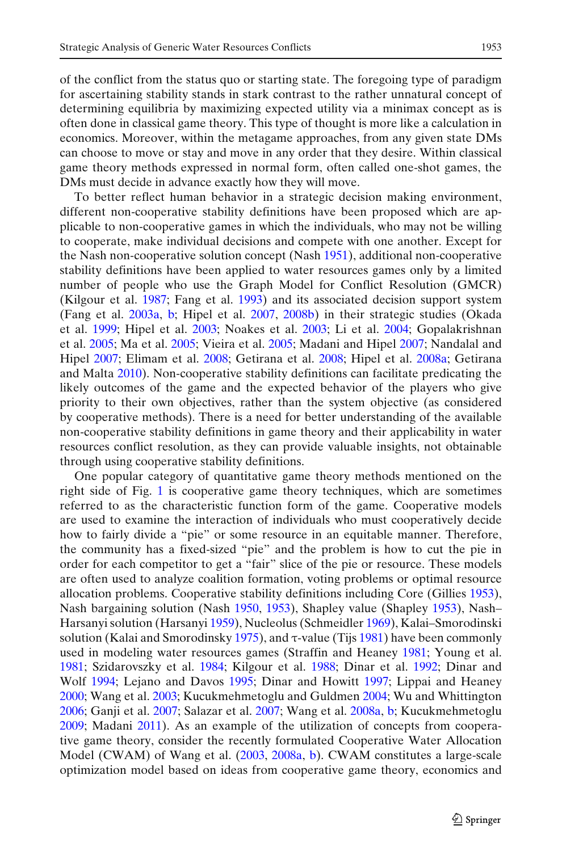of the conflict from the status quo or starting state. The foregoing type of paradigm for ascertaining stability stands in stark contrast to the rather unnatural concept of determining equilibria by maximizing expected utility via a minimax concept as is often done in classical game theory. This type of thought is more like a calculation in economics. Moreover, within the metagame approaches, from any given state DMs can choose to move or stay and move in any order that they desire. Within classical game theory methods expressed in normal form, often called one-shot games, the DMs must decide in advance exactly how they will move.

To better reflect human behavior in a strategic decision making environment, different non-cooperative stability definitions have been proposed which are applicable to non-cooperative games in which the individuals, who may not be willing to cooperate, make individual decisions and compete with one another. Except for the Nash non-cooperative solution concept (Nash [1951](#page-27-0)), additional non-cooperative stability definitions have been applied to water resources games only by a limited number of people who use the Graph Model for Conflict Resolution (GMCR) (Kilgour et al[.](#page-27-0) [1987](#page-27-0); Fang et al[.](#page-25-0) [1993](#page-25-0)) and its associated decision support system (Fang et al[.](#page-25-0) [2003a,](#page-25-0) b; Hipel et al[.](#page-26-0) [2007](#page-26-0), [2008b\)](#page-26-0) in their strategic studies (Okada et al[.](#page-27-0) [1999](#page-27-0); Hipel et al[.](#page-26-0) [2003;](#page-26-0) Noakes et al[.](#page-27-0) [2003;](#page-27-0) Li et al[.](#page-27-0) [2004;](#page-27-0) Gopalakrishnan et al[.](#page-26-0) [2005](#page-26-0); Ma et al[.](#page-27-0) [2005;](#page-27-0) Vieira et al[.](#page-28-0) [2005](#page-28-0); Madani and Hipe[l](#page-27-0) [2007;](#page-27-0) Nandalal and Hipe[l](#page-27-0) [2007;](#page-27-0) Elimam et al[.](#page-25-0) [2008](#page-25-0); Getirana et al[.](#page-25-0) [2008;](#page-25-0) Hipel et al[.](#page-26-0) [2008a;](#page-26-0) Getirana and Malt[a](#page-25-0) [2010\)](#page-25-0). Non-cooperative stability definitions can facilitate predicating the likely outcomes of the game and the expected behavior of the players who give priority to their own objectives, rather than the system objective (as considered by cooperative methods). There is a need for better understanding of the available non-cooperative stability definitions in game theory and their applicability in water resources conflict resolution, as they can provide valuable insights, not obtainable through using cooperative stability definitions.

One popular category of quantitative game theory methods mentioned on the right side of Fig. [1](#page-3-0) is cooperative game theory techniques, which are sometimes referred to as the characteristic function form of the game. Cooperative models are used to examine the interaction of individuals who must cooperatively decide how to fairly divide a "pie" or some resource in an equitable manner. Therefore, the community has a fixed-sized "pie" and the problem is how to cut the pie in order for each competitor to get a "fair" slice of the pie or resource. These models are often used to analyze coalition formation, voting problems or optimal resource allocation problems. Cooperative stability definitions including Core (Gillie[s](#page-25-0) [1953\)](#page-25-0), Nash bargaining solution (Nas[h](#page-27-0) [1950](#page-27-0), [1953](#page-27-0)), Shapley value (Shaple[y](#page-28-0) [1953](#page-28-0)), Nash– Harsanyi solution (Harsany[i](#page-26-0) [1959](#page-26-0)), Nucleolus (Schmeidle[r](#page-28-0) [1969](#page-28-0)), Kalai–Smorodinski solution (Kalai and Smorodinsk[y](#page-27-0) [1975\)](#page-27-0), and  $\tau$ -value (Tij[s](#page-28-0) [1981](#page-28-0)) have been commonly used in modeling water resources games (Straffin and Heane[y](#page-28-0) [1981;](#page-28-0) Young et al[.](#page-28-0) [1981;](#page-28-0) Szidarovszky et al[.](#page-28-0) [1984](#page-28-0); Kilgour et al[.](#page-27-0) [1988](#page-27-0); Dinar et al[.](#page-25-0) [1992](#page-25-0); Dinar and Wol[f](#page-25-0) [1994](#page-25-0); Lejano and Davo[s](#page-27-0) [1995](#page-27-0); Dinar and Howit[t](#page-25-0) [1997;](#page-25-0) Lippai and Heane[y](#page-27-0) [2000;](#page-27-0) Wang et al[.](#page-28-0) [2003;](#page-28-0) Kucukmehmetoglu and Guldme[n](#page-27-0) [2004;](#page-27-0) Wu and Whittingto[n](#page-28-0) [2006;](#page-28-0) Ganji et al[.](#page-25-0) [2007;](#page-25-0) Salazar et al[.](#page-27-0) [2007;](#page-27-0) Wang et al[.](#page-28-0) [2008a,](#page-28-0) [b;](#page-28-0) Kucukmehmetogl[u](#page-27-0) [2009;](#page-27-0) Madan[i](#page-27-0) [2011\)](#page-27-0). As an example of the utilization of concepts from cooperative game theory, consider the recently formulated Cooperative Water Allocation Model (CWAM) of Wang et al. [\(2003](#page-28-0), [2008a](#page-28-0), [b\)](#page-28-0). CWAM constitutes a large-scale optimization model based on ideas from cooperative game theory, economics and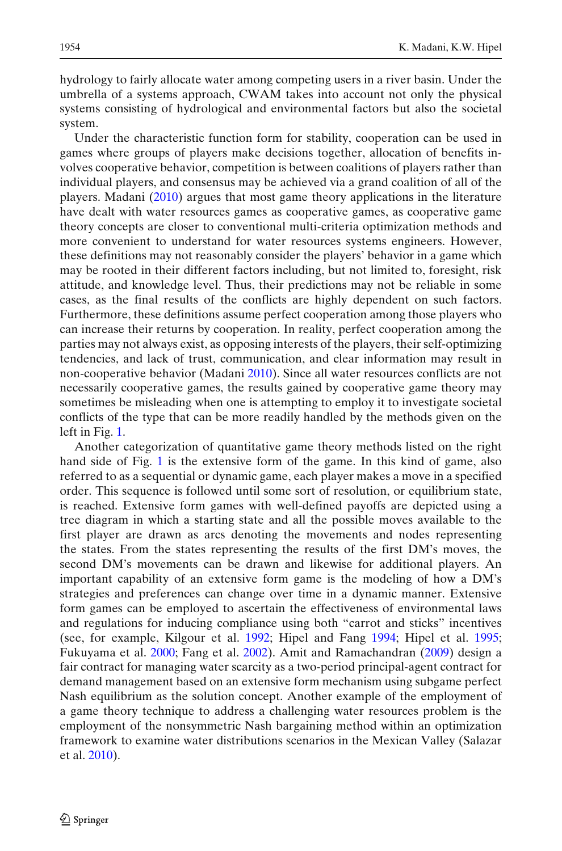hydrology to fairly allocate water among competing users in a river basin. Under the umbrella of a systems approach, CWAM takes into account not only the physical systems consisting of hydrological and environmental factors but also the societal system.

Under the characteristic function form for stability, cooperation can be used in games where groups of players make decisions together, allocation of benefits involves cooperative behavior, competition is between coalitions of players rather than individual players, and consensus may be achieved via a grand coalition of all of the players. Madan[i](#page-27-0) [\(2010](#page-27-0)) argues that most game theory applications in the literature have dealt with water resources games as cooperative games, as cooperative game theory concepts are closer to conventional multi-criteria optimization methods and more convenient to understand for water resources systems engineers. However, these definitions may not reasonably consider the players' behavior in a game which may be rooted in their different factors including, but not limited to, foresight, risk attitude, and knowledge level. Thus, their predictions may not be reliable in some cases, as the final results of the conflicts are highly dependent on such factors. Furthermore, these definitions assume perfect cooperation among those players who can increase their returns by cooperation. In reality, perfect cooperation among the parties may not always exist, as opposing interests of the players, their self-optimizing tendencies, and lack of trust, communication, and clear information may result in non-cooperative behavior (Madan[i](#page-27-0) [2010\)](#page-27-0). Since all water resources conflicts are not necessarily cooperative games, the results gained by cooperative game theory may sometimes be misleading when one is attempting to employ it to investigate societal conflicts of the type that can be more readily handled by the methods given on the left in Fig. [1.](#page-3-0)

Another categorization of quantitative game theory methods listed on the right hand side of Fig. [1](#page-3-0) is the extensive form of the game. In this kind of game, also referred to as a sequential or dynamic game, each player makes a move in a specified order. This sequence is followed until some sort of resolution, or equilibrium state, is reached. Extensive form games with well-defined payoffs are depicted using a tree diagram in which a starting state and all the possible moves available to the first player are drawn as arcs denoting the movements and nodes representing the states. From the states representing the results of the first DM's moves, the second DM's movements can be drawn and likewise for additional players. An important capability of an extensive form game is the modeling of how a DM's strategies and preferences can change over time in a dynamic manner. Extensive form games can be employed to ascertain the effectiveness of environmental laws and regulations for inducing compliance using both "carrot and sticks" incentives (see, for example, Kilgour et al. [1992](#page-27-0); Hipel and Fan[g](#page-26-0) [1994;](#page-26-0) Hipel et al[.](#page-26-0) [1995](#page-26-0); Fukuyama et al[.](#page-25-0) [2000;](#page-25-0) Fang et al[.](#page-25-0) [2002](#page-25-0)). Amit and Ramachandra[n](#page-25-0) [\(2009](#page-25-0)) design a fair contract for managing water scarcity as a two-period principal-agent contract for demand management based on an extensive form mechanism using subgame perfect Nash equilibrium as the solution concept. Another example of the employment of a game theory technique to address a challenging water resources problem is the employment of the nonsymmetric Nash bargaining method within an optimization framework to examine water distributions scenarios in the Mexican Valley (Salazar et al. [2010](#page-28-0)).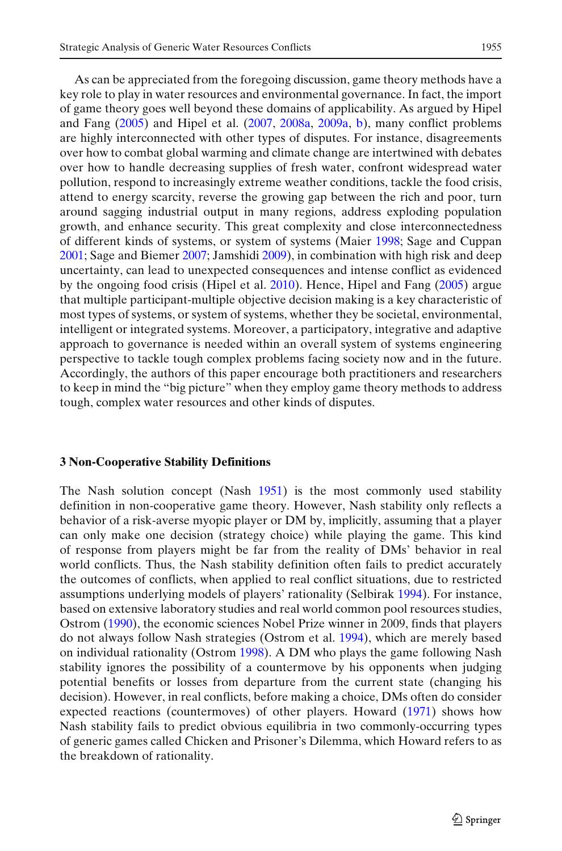<span id="page-6-0"></span>As can be appreciated from the foregoing discussion, game theory methods have a key role to play in water resources and environmental governance. In fact, the import of game theory goes well beyond these domains of applicability. As argued by Hipel and Fan[g](#page-26-0) [\(2005\)](#page-26-0) and Hipel et al. [\(2007](#page-26-0), [2008a,](#page-26-0) [2009a,](#page-26-0) [b\)](#page-26-0), many conflict problems are highly interconnected with other types of disputes. For instance, disagreements over how to combat global warming and climate change are intertwined with debates over how to handle decreasing supplies of fresh water, confront widespread water pollution, respond to increasingly extreme weather conditions, tackle the food crisis, attend to energy scarcity, reverse the growing gap between the rich and poor, turn around sagging industrial output in many regions, address exploding population growth, and enhance security. This great complexity and close interconnectedness of different kinds of systems, or system of systems (Maie[r](#page-27-0) [1998;](#page-27-0) Sage and Cuppa[n](#page-27-0) [2001;](#page-27-0) Sage and Biemer [2007;](#page-27-0) Jamshid[i](#page-26-0) [2009](#page-26-0)), in combination with high risk and deep uncertainty, can lead to unexpected consequences and intense conflict as evidenced by the ongoing food crisis (Hipel et al[.](#page-26-0) [2010](#page-26-0)). Hence, Hipel and Fan[g](#page-26-0) [\(2005\)](#page-26-0) argue that multiple participant-multiple objective decision making is a key characteristic of most types of systems, or system of systems, whether they be societal, environmental, intelligent or integrated systems. Moreover, a participatory, integrative and adaptive approach to governance is needed within an overall system of systems engineering perspective to tackle tough complex problems facing society now and in the future. Accordingly, the authors of this paper encourage both practitioners and researchers to keep in mind the "big picture" when they employ game theory methods to address tough, complex water resources and other kinds of disputes.

### **3 Non-Cooperative Stability Definitions**

The Nash solution concept (Nas[h](#page-27-0) [1951](#page-27-0)) is the most commonly used stability definition in non-cooperative game theory. However, Nash stability only reflects a behavior of a risk-averse myopic player or DM by, implicitly, assuming that a player can only make one decision (strategy choice) while playing the game. This kind of response from players might be far from the reality of DMs' behavior in real world conflicts. Thus, the Nash stability definition often fails to predict accurately the outcomes of conflicts, when applied to real conflict situations, due to restricted assumptions underlying models of players' rationality (Selbira[k](#page-28-0) [1994](#page-28-0)). For instance, based on extensive laboratory studies and real world common pool resources studies, Ostro[m](#page-27-0) [\(1990\)](#page-27-0), the economic sciences Nobel Prize winner in 2009, finds that players do not always follow Nash strategies (Ostrom et al[.](#page-27-0) [1994](#page-27-0)), which are merely based on individual rationality (Ostro[m](#page-27-0) [1998](#page-27-0)). A DM who plays the game following Nash stability ignores the possibility of a countermove by his opponents when judging potential benefits or losses from departure from the current state (changing his decision). However, in real conflicts, before making a choice, DMs often do consider expected reactions (countermoves) of other players. Howar[d](#page-26-0) [\(1971\)](#page-26-0) shows how Nash stability fails to predict obvious equilibria in two commonly-occurring types of generic games called Chicken and Prisoner's Dilemma, which Howard refers to as the breakdown of rationality.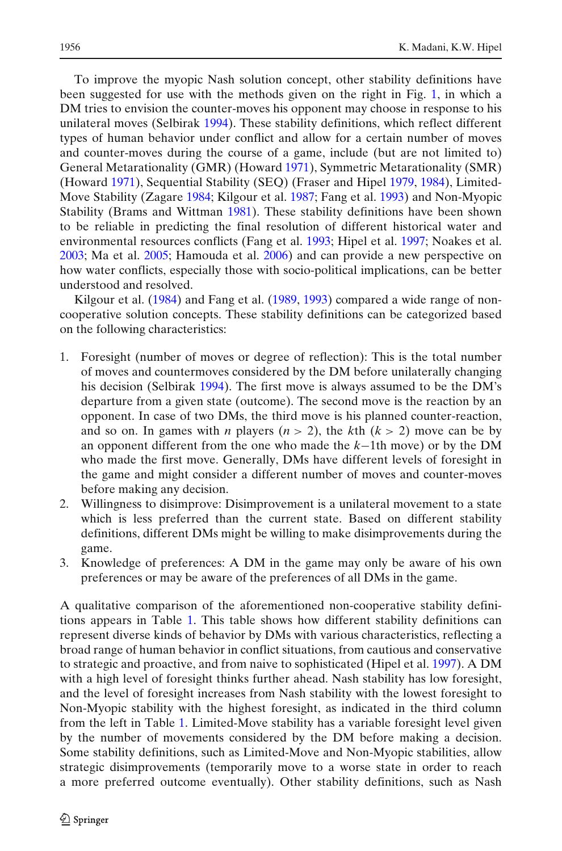To improve the myopic Nash solution concept, other stability definitions have been suggested for use with the methods given on the right in Fig. [1,](#page-3-0) in which a DM tries to envision the counter-moves his opponent may choose in response to his unilateral moves (Selbira[k](#page-28-0) [1994\)](#page-28-0). These stability definitions, which reflect different types of human behavior under conflict and allow for a certain number of moves and counter-moves during the course of a game, include (but are not limited to) General Metarationality (GMR) (Howar[d](#page-26-0) [1971](#page-26-0)), Symmetric Metarationality (SMR) (Howar[d](#page-26-0) [1971\)](#page-26-0), Sequential Stability (SEQ) (Fraser and Hipe[l](#page-25-0) [1979,](#page-25-0) [1984\)](#page-25-0), Limited-Move Stability (Zagar[e](#page-28-0) [1984;](#page-28-0) Kilgour et al[.](#page-27-0) [1987](#page-27-0); Fang et al[.](#page-25-0) [1993](#page-25-0)) and Non-Myopic Stability (Brams and Wittma[n](#page-25-0) [1981](#page-25-0)). These stability definitions have been shown to be reliable in predicting the final resolution of different historical water and environmental resources conflicts (Fang et al[.](#page-25-0) [1993;](#page-25-0) Hipel et al[.](#page-26-0) [1997;](#page-26-0) Noakes et al[.](#page-27-0) [2003;](#page-27-0) Ma et al[.](#page-27-0) [2005;](#page-27-0) Hamouda et al[.](#page-26-0) [2006](#page-26-0)) and can provide a new perspective on how water conflicts, especially those with socio-political implications, can be better understood and resolved.

Kilgour et al[.](#page-25-0) [\(1984](#page-27-0)) and Fang et al. [\(1989](#page-25-0), [1993](#page-25-0)) compared a wide range of noncooperative solution concepts. These stability definitions can be categorized based on the following characteristics:

- 1. Foresight (number of moves or degree of reflection): This is the total number of moves and countermoves considered by the DM before unilaterally changing his decision (Selbira[k](#page-28-0) [1994](#page-28-0)). The first move is always assumed to be the DM's departure from a given state (outcome). The second move is the reaction by an opponent. In case of two DMs, the third move is his planned counter-reaction, and so on. In games with *n* players  $(n > 2)$ , the *k*th  $(k > 2)$  move can be by an opponent different from the one who made the *k*−1th move) or by the DM who made the first move. Generally, DMs have different levels of foresight in the game and might consider a different number of moves and counter-moves before making any decision.
- 2. Willingness to disimprove: Disimprovement is a unilateral movement to a state which is less preferred than the current state. Based on different stability definitions, different DMs might be willing to make disimprovements during the game.
- 3. Knowledge of preferences: A DM in the game may only be aware of his own preferences or may be aware of the preferences of all DMs in the game.

A qualitative comparison of the aforementioned non-cooperative stability definitions appears in Table [1.](#page-8-0) This table shows how different stability definitions can represent diverse kinds of behavior by DMs with various characteristics, reflecting a broad range of human behavior in conflict situations, from cautious and conservative to strategic and proactive, and from naive to sophisticated (Hipel et al[.](#page-26-0) [1997](#page-26-0)). A DM with a high level of foresight thinks further ahead. Nash stability has low foresight, and the level of foresight increases from Nash stability with the lowest foresight to Non-Myopic stability with the highest foresight, as indicated in the third column from the left in Table [1.](#page-8-0) Limited-Move stability has a variable foresight level given by the number of movements considered by the DM before making a decision. Some stability definitions, such as Limited-Move and Non-Myopic stabilities, allow strategic disimprovements (temporarily move to a worse state in order to reach a more preferred outcome eventually). Other stability definitions, such as Nash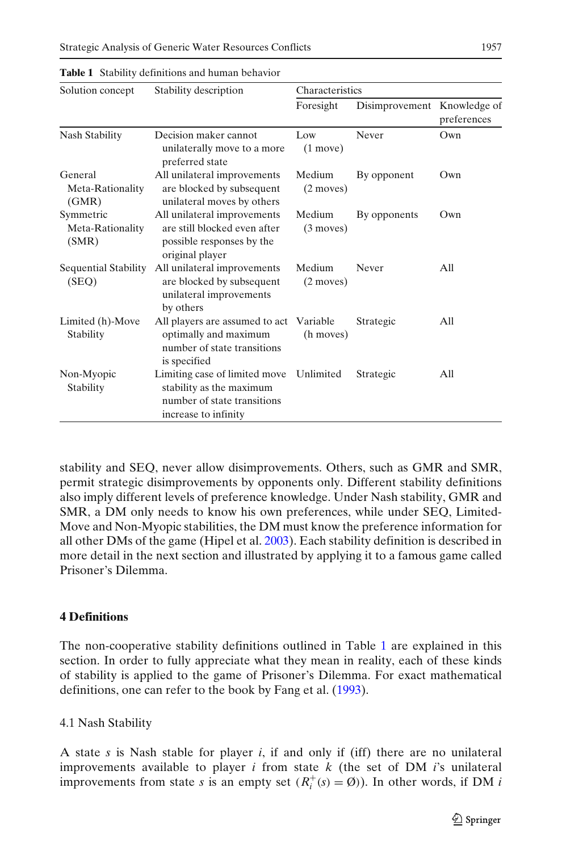| Solution concept                       | Stability description                                                                                            | Characteristics       |                             |             |  |  |  |
|----------------------------------------|------------------------------------------------------------------------------------------------------------------|-----------------------|-----------------------------|-------------|--|--|--|
|                                        |                                                                                                                  | Foresight             | Disimprovement Knowledge of | preferences |  |  |  |
| Nash Stability                         | Decision maker cannot<br>unilaterally move to a more<br>preferred state                                          | Low<br>$(1$ move)     | Never                       | Own         |  |  |  |
| General<br>Meta-Rationality<br>(GMR)   | All unilateral improvements<br>are blocked by subsequent<br>unilateral moves by others                           | Medium<br>$(2$ moves) | By opponent                 | Own         |  |  |  |
| Symmetric<br>Meta-Rationality<br>(SMR) | All unilateral improvements<br>are still blocked even after<br>possible responses by the<br>original player      | Medium<br>$(3$ moves) | By opponents                | Own         |  |  |  |
| Sequential Stability<br>(SEQ)          | All unilateral improvements<br>are blocked by subsequent<br>unilateral improvements<br>by others                 | Medium<br>$(2$ moves) | Never                       | All         |  |  |  |
| Limited (h)-Move<br>Stability          | All players are assumed to act Variable<br>optimally and maximum<br>number of state transitions<br>is specified  | (h moves)             | Strategic                   | All         |  |  |  |
| Non-Myopic<br>Stability                | Limiting case of limited move<br>stability as the maximum<br>number of state transitions<br>increase to infinity | Unlimited             | Strategic                   | All         |  |  |  |

<span id="page-8-0"></span>**Table 1** Stability definitions and human behavior

stability and SEQ, never allow disimprovements. Others, such as GMR and SMR, permit strategic disimprovements by opponents only. Different stability definitions also imply different levels of preference knowledge. Under Nash stability, GMR and SMR, a DM only needs to know his own preferences, while under SEQ, Limited-Move and Non-Myopic stabilities, the DM must know the preference information for all other DMs of the game (Hipel et al[.](#page-26-0) [2003](#page-26-0)). Each stability definition is described in more detail in the next section and illustrated by applying it to a famous game called Prisoner's Dilemma.

## **4 Definitions**

The non-cooperative stability definitions outlined in Table 1 are explained in this section. In order to fully appreciate what they mean in reality, each of these kinds of stability is applied to the game of Prisoner's Dilemma. For exact mathematical definitions, one can refer to the book by Fang et al[.](#page-25-0) [\(1993](#page-25-0)).

### 4.1 Nash Stability

A state *s* is Nash stable for player *i*, if and only if (iff) there are no unilateral improvements available to player *i* from state *k* (the set of DM *i*'s unilateral improvements from state *s* is an empty set  $(R_i^+(s) = \emptyset)$ ). In other words, if DM *i*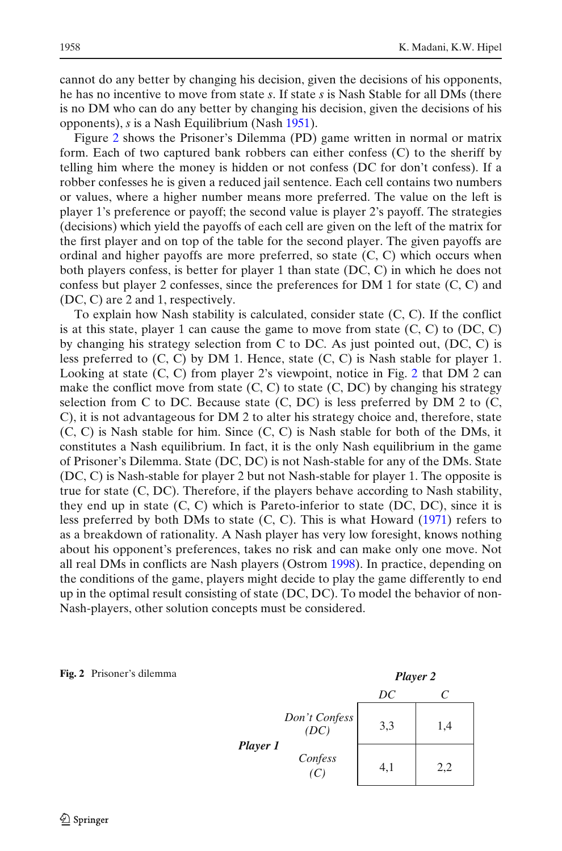<span id="page-9-0"></span>cannot do any better by changing his decision, given the decisions of his opponents, he has no incentive to move from state *s*. If state *s* is Nash Stable for all DMs (there is no DM who can do any better by changing his decision, given the decisions of his opponents), *s* is a Nash Equilibrium (Nas[h](#page-27-0) [1951\)](#page-27-0).

Figure 2 shows the Prisoner's Dilemma (PD) game written in normal or matrix form. Each of two captured bank robbers can either confess (C) to the sheriff by telling him where the money is hidden or not confess (DC for don't confess). If a robber confesses he is given a reduced jail sentence. Each cell contains two numbers or values, where a higher number means more preferred. The value on the left is player 1's preference or payoff; the second value is player 2's payoff. The strategies (decisions) which yield the payoffs of each cell are given on the left of the matrix for the first player and on top of the table for the second player. The given payoffs are ordinal and higher payoffs are more preferred, so state (C, C) which occurs when both players confess, is better for player 1 than state (DC, C) in which he does not confess but player 2 confesses, since the preferences for DM 1 for state (C, C) and (DC, C) are 2 and 1, respectively.

To explain how Nash stability is calculated, consider state (C, C). If the conflict is at this state, player 1 can cause the game to move from state  $(C, C)$  to  $(DC, C)$ by changing his strategy selection from C to DC. As just pointed out, (DC, C) is less preferred to  $(C, C)$  by DM 1. Hence, state  $(C, C)$  is Nash stable for player 1. Looking at state (C, C) from player 2's viewpoint, notice in Fig. 2 that DM 2 can make the conflict move from state  $(C, C)$  to state  $(C, DC)$  by changing his strategy selection from C to DC. Because state  $(C, DC)$  is less preferred by DM 2 to  $(C,$ C), it is not advantageous for DM 2 to alter his strategy choice and, therefore, state (C, C) is Nash stable for him. Since (C, C) is Nash stable for both of the DMs, it constitutes a Nash equilibrium. In fact, it is the only Nash equilibrium in the game of Prisoner's Dilemma. State (DC, DC) is not Nash-stable for any of the DMs. State (DC, C) is Nash-stable for player 2 but not Nash-stable for player 1. The opposite is true for state (C, DC). Therefore, if the players behave according to Nash stability, they end up in state  $(C, C)$  which is Pareto-inferior to state  $(DC, DC)$ , since it is less preferre[d](#page-26-0) by both DMs to state  $(C, C)$ . This is what Howard  $(1971)$  refers to as a breakdown of rationality. A Nash player has very low foresight, knows nothing about his opponent's preferences, takes no risk and can make only one move. Not all real DMs in conflicts are Nash players (Ostro[m](#page-27-0) [1998\)](#page-27-0). In practice, depending on the conditions of the game, players might decide to play the game differently to end up in the optimal result consisting of state (DC, DC). To model the behavior of non-Nash-players, other solution concepts must be considered.

| na                         | <b>Player 2</b> |     |  |  |  |
|----------------------------|-----------------|-----|--|--|--|
|                            | DC              |     |  |  |  |
| Don't Confess<br>(DC)      | 3,3             | 1,4 |  |  |  |
| Player 1<br>Confess<br>(C) | 4,1             | 2,2 |  |  |  |

#### **Fig. 2** Prisoner's dilemma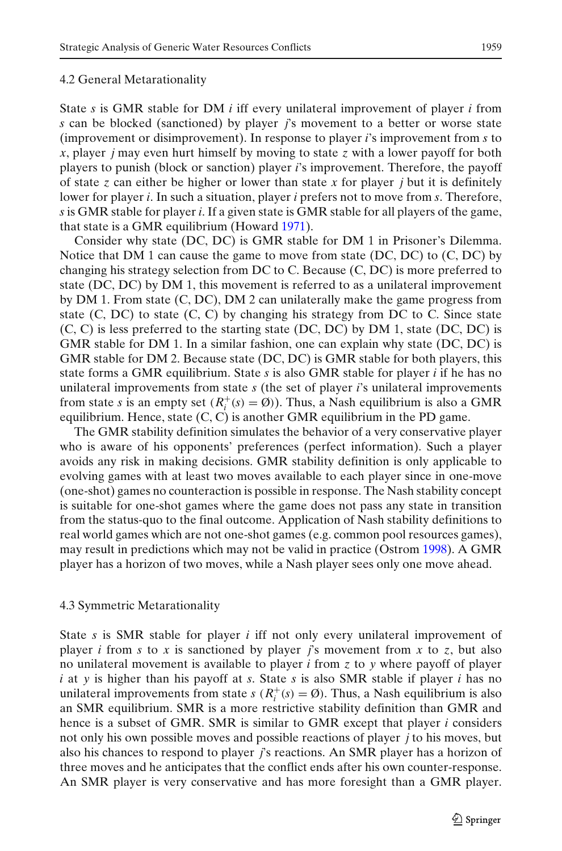### 4.2 General Metarationality

State *s* is GMR stable for DM *i* iff every unilateral improvement of player *i* from *s* can be blocked (sanctioned) by player *j*'s movement to a better or worse state (improvement or disimprovement). In response to player *i*'s improvement from *s* to *x*, player *j* may even hurt himself by moving to state *z* with a lower payoff for both players to punish (block or sanction) player *i*'s improvement. Therefore, the payoff of state *z* can either be higher or lower than state *x* for player *j* but it is definitely lower for player *i*. In such a situation, player *i* prefers not to move from *s*. Therefore, *s* is GMR stable for player *i*. If a given state is GMR stable for all players of the game, that state is a GMR equilibrium (Howar[d](#page-26-0) [1971](#page-26-0)).

Consider why state (DC, DC) is GMR stable for DM 1 in Prisoner's Dilemma. Notice that DM 1 can cause the game to move from state  $(DC, DC)$  to  $(C, DC)$  by changing his strategy selection from DC to C. Because (C, DC) is more preferred to state (DC, DC) by DM 1, this movement is referred to as a unilateral improvement by DM 1. From state (C, DC), DM 2 can unilaterally make the game progress from state  $(C, DC)$  to state  $(C, C)$  by changing his strategy from DC to C. Since state (C, C) is less preferred to the starting state (DC, DC) by DM 1, state (DC, DC) is GMR stable for DM 1. In a similar fashion, one can explain why state (DC, DC) is GMR stable for DM 2. Because state (DC, DC) is GMR stable for both players, this state forms a GMR equilibrium. State *s* is also GMR stable for player *i* if he has no unilateral improvements from state *s* (the set of player *i*'s unilateral improvements from state *s* is an empty set  $(R_i^+(s) = \emptyset)$ ). Thus, a Nash equilibrium is also a GMR equilibrium. Hence, state  $(C, C)$  is another GMR equilibrium in the PD game.

The GMR stability definition simulates the behavior of a very conservative player who is aware of his opponents' preferences (perfect information). Such a player avoids any risk in making decisions. GMR stability definition is only applicable to evolving games with at least two moves available to each player since in one-move (one-shot) games no counteraction is possible in response. The Nash stability concept is suitable for one-shot games where the game does not pass any state in transition from the status-quo to the final outcome. Application of Nash stability definitions to real world games which are not one-shot games (e.g. common pool resources games), may result in predictions which may not be valid in practice (Ostro[m](#page-27-0) [1998\)](#page-27-0). A GMR player has a horizon of two moves, while a Nash player sees only one move ahead.

## 4.3 Symmetric Metarationality

State *s* is SMR stable for player *i* iff not only every unilateral improvement of player *i* from *s* to *x* is sanctioned by player *j*'s movement from *x* to *z*, but also no unilateral movement is available to player *i* from *z* to *y* where payoff of player *i* at *y* is higher than his payoff at *s*. State *s* is also SMR stable if player *i* has no unilateral improvements from state  $s$  ( $R_i^+(s) = \emptyset$ ). Thus, a Nash equilibrium is also an SMR equilibrium. SMR is a more restrictive stability definition than GMR and hence is a subset of GMR. SMR is similar to GMR except that player *i* considers not only his own possible moves and possible reactions of player *j* to his moves, but also his chances to respond to player *j*'s reactions. An SMR player has a horizon of three moves and he anticipates that the conflict ends after his own counter-response. An SMR player is very conservative and has more foresight than a GMR player.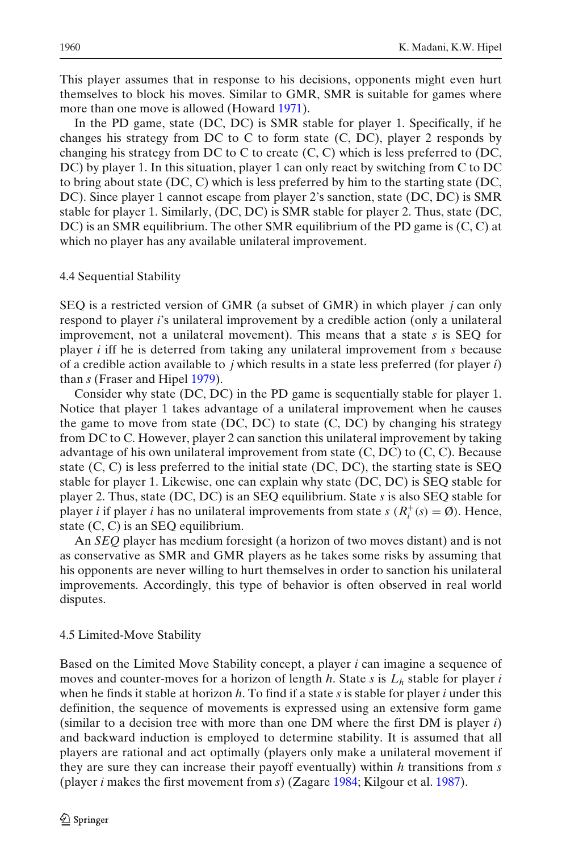This player assumes that in response to his decisions, opponents might even hurt themselves to block his moves. Similar to GMR, SMR is suitable for games where more than one move is allowed (Howar[d](#page-26-0) [1971\)](#page-26-0).

In the PD game, state (DC, DC) is SMR stable for player 1. Specifically, if he changes his strategy from DC to C to form state (C, DC), player 2 responds by changing his strategy from DC to C to create  $(C, C)$  which is less preferred to  $(DC, C)$ DC) by player 1. In this situation, player 1 can only react by switching from C to DC to bring about state (DC, C) which is less preferred by him to the starting state (DC, DC). Since player 1 cannot escape from player 2's sanction, state (DC, DC) is SMR stable for player 1. Similarly, (DC, DC) is SMR stable for player 2. Thus, state (DC, DC) is an SMR equilibrium. The other SMR equilibrium of the PD game is (C, C) at which no player has any available unilateral improvement.

## 4.4 Sequential Stability

SEQ is a restricted version of GMR (a subset of GMR) in which player *j* can only respond to player *i*'s unilateral improvement by a credible action (only a unilateral improvement, not a unilateral movement). This means that a state *s* is SEQ for player *i* iff he is deterred from taking any unilateral improvement from *s* because of a credible action available to *j* which results in a state less preferred (for player *i*) than *s* (Fraser and Hipe[l](#page-25-0) [1979](#page-25-0)).

Consider why state (DC, DC) in the PD game is sequentially stable for player 1. Notice that player 1 takes advantage of a unilateral improvement when he causes the game to move from state (DC, DC) to state  $(C, DC)$  by changing his strategy from DC to C. However, player 2 can sanction this unilateral improvement by taking advantage of his own unilateral improvement from state (C, DC) to (C, C). Because state  $(C, C)$  is less preferred to the initial state  $(DC, DC)$ , the starting state is  $SEQ$ stable for player 1. Likewise, one can explain why state (DC, DC) is SEQ stable for player 2. Thus, state (DC, DC) is an SEQ equilibrium. State *s* is also SEQ stable for player *i* if player *i* has no unilateral improvements from state *s* ( $R_i^+(s) = \emptyset$ ). Hence, state  $(C, C)$  is an SEQ equilibrium.

An *SEQ* player has medium foresight (a horizon of two moves distant) and is not as conservative as SMR and GMR players as he takes some risks by assuming that his opponents are never willing to hurt themselves in order to sanction his unilateral improvements. Accordingly, this type of behavior is often observed in real world disputes.

# 4.5 Limited-Move Stability

Based on the Limited Move Stability concept, a player *i* can imagine a sequence of moves and counter-moves for a horizon of length *h*. State *s* is *Lh* stable for player *i* when he finds it stable at horizon *h*. To find if a state *s* is stable for player *i* under this definition, the sequence of movements is expressed using an extensive form game (similar to a decision tree with more than one DM where the first DM is player *i*) and backward induction is employed to determine stability. It is assumed that all players are rational and act optimally (players only make a unilateral movement if they are sure they can increase their payoff eventually) within *h* transitions from *s* (player *i* makes the first movement from *s*) (Zagar[e](#page-28-0) [1984;](#page-28-0) Kilgour et al[.](#page-27-0) [1987](#page-27-0)).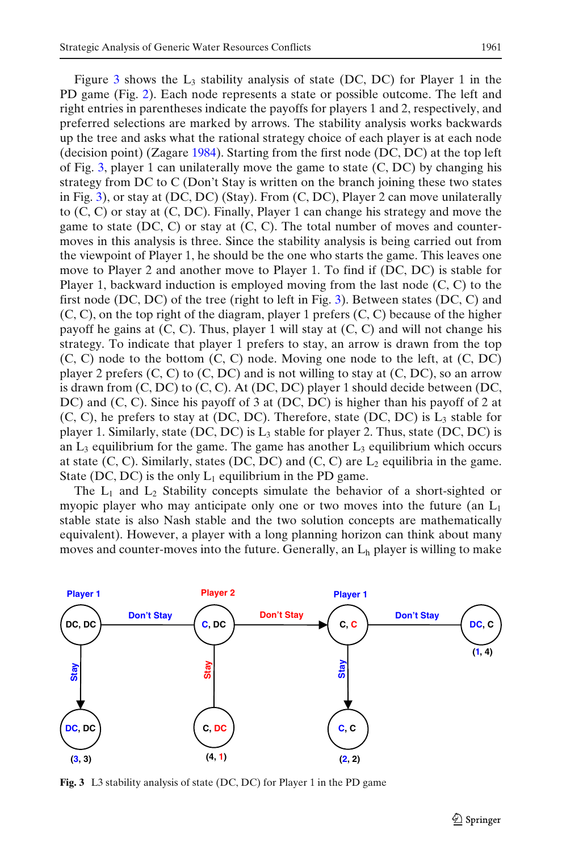Figure 3 shows the  $L_3$  stability analysis of state (DC, DC) for Player 1 in the PD game (Fig. [2\)](#page-9-0). Each node represents a state or possible outcome. The left and right entries in parentheses indicate the payoffs for players 1 and 2, respectively, and preferred selections are marked by arrows. The stability analysis works backwards up the tree and asks what the rational strategy choice of each player is at each node (decision point) (Zagar[e](#page-28-0) [1984](#page-28-0)). Starting from the first node (DC, DC) at the top left of Fig. 3, player 1 can unilaterally move the game to state  $(C, DC)$  by changing his strategy from DC to C (Don't Stay is written on the branch joining these two states in Fig. 3), or stay at (DC, DC) (Stay). From (C, DC), Player 2 can move unilaterally to (C, C) or stay at (C, DC). Finally, Player 1 can change his strategy and move the game to state  $(DC, C)$  or stay at  $(C, C)$ . The total number of moves and countermoves in this analysis is three. Since the stability analysis is being carried out from the viewpoint of Player 1, he should be the one who starts the game. This leaves one move to Player 2 and another move to Player 1. To find if (DC, DC) is stable for Player 1, backward induction is employed moving from the last node  $(C, C)$  to the first node (DC, DC) of the tree (right to left in Fig. 3). Between states (DC, C) and  $(C, C)$ , on the top right of the diagram, player 1 prefers  $(C, C)$  because of the higher payoff he gains at  $(C, C)$ . Thus, player 1 will stay at  $(C, C)$  and will not change his strategy. To indicate that player 1 prefers to stay, an arrow is drawn from the top (C, C) node to the bottom (C, C) node. Moving one node to the left, at (C, DC) player 2 prefers  $(C, C)$  to  $(C, DC)$  and is not willing to stay at  $(C, DC)$ , so an arrow is drawn from  $(C, DC)$  to  $(C, C)$ . At  $(DC, DC)$  player 1 should decide between  $(DC,$ DC) and (C, C). Since his payoff of 3 at (DC, DC) is higher than his payoff of 2 at  $(C, C)$ , he prefers to stay at (DC, DC). Therefore, state (DC, DC) is  $L_3$  stable for player 1. Similarly, state (DC, DC) is  $L_3$  stable for player 2. Thus, state (DC, DC) is an  $L_3$  equilibrium for the game. The game has another  $L_3$  equilibrium which occurs at state  $(C, C)$ . Similarly, states  $(DC, DC)$  and  $(C, C)$  are  $L_2$  equilibria in the game. State (DC, DC) is the only  $L_1$  equilibrium in the PD game.

The  $L_1$  and  $L_2$  Stability concepts simulate the behavior of a short-sighted or myopic player who may anticipate only one or two moves into the future (an  $L_1$ ) stable state is also Nash stable and the two solution concepts are mathematically equivalent). However, a player with a long planning horizon can think about many moves and counter-moves into the future. Generally, an  $L<sub>h</sub>$  player is willing to make



**Fig. 3** L3 stability analysis of state (DC, DC) for Player 1 in the PD game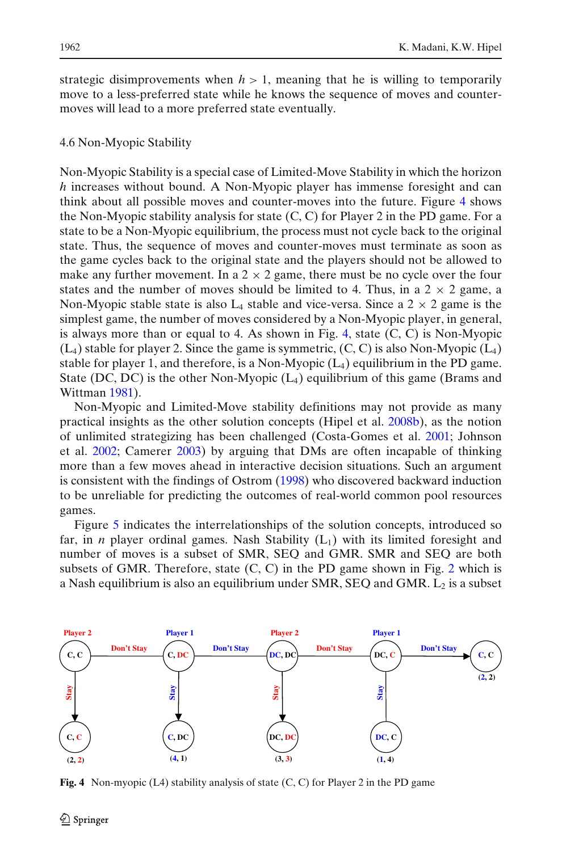strategic disimprovements when  $h > 1$ , meaning that he is willing to temporarily move to a less-preferred state while he knows the sequence of moves and countermoves will lead to a more preferred state eventually.

### 4.6 Non-Myopic Stability

Non-Myopic Stability is a special case of Limited-Move Stability in which the horizon *h* increases without bound. A Non-Myopic player has immense foresight and can think about all possible moves and counter-moves into the future. Figure 4 shows the Non-Myopic stability analysis for state (C, C) for Player 2 in the PD game. For a state to be a Non-Myopic equilibrium, the process must not cycle back to the original state. Thus, the sequence of moves and counter-moves must terminate as soon as the game cycles back to the original state and the players should not be allowed to make any further movement. In a  $2 \times 2$  game, there must be no cycle over the four states and the number of moves should be limited to 4. Thus, in a  $2 \times 2$  game, a Non-Myopic stable state is also  $L_4$  stable and vice-versa. Since a 2  $\times$  2 game is the simplest game, the number of moves considered by a Non-Myopic player, in general, is always more than or equal to 4. As shown in Fig. 4, state  $(C, C)$  is Non-Myopic  $(L_4)$  stable for player 2. Since the game is symmetric,  $(C, C)$  is also Non-Myopic  $(L_4)$ stable for player 1, and therefore, is a Non-Myopic  $(L_4)$  equilibrium in the PD game. State (DC, DC) is the other Non-Myopic  $(L_4)$  equilibrium of this game (Brams and Wittma[n](#page-25-0) [1981\)](#page-25-0).

Non-Myopic and Limited-Move stability definitions may not provide as many practical insights as the other solution concepts (Hipel et al[.](#page-26-0) [2008b](#page-26-0)), as the notion of unlimited strategizing has been challenged (Costa-Gomes et al[.](#page-25-0) [2001](#page-25-0); Johnson et al[.](#page-26-0) [2002;](#page-26-0) Camere[r](#page-25-0) [2003](#page-25-0)) by arguing that DMs are often incapable of thinking more than a few moves ahead in interactive decision situations. Such an argument is consistent with the findings of Ostro[m](#page-27-0) [\(1998](#page-27-0)) who discovered backward induction to be unreliable for predicting the outcomes of real-world common pool resources games.

Figure [5](#page-14-0) indicates the interrelationships of the solution concepts, introduced so far, in *n* player ordinal games. Nash Stability  $(L<sub>1</sub>)$  with its limited foresight and number of moves is a subset of SMR, SEQ and GMR. SMR and SEQ are both subsets of GMR. Therefore, state  $(C, C)$  in the PD game shown in Fig. [2](#page-9-0) which is a Nash equilibrium is also an equilibrium under SMR, SEQ and GMR.  $L_2$  is a subset



**Fig. 4** Non-myopic (L4) stability analysis of state (C, C) for Player 2 in the PD game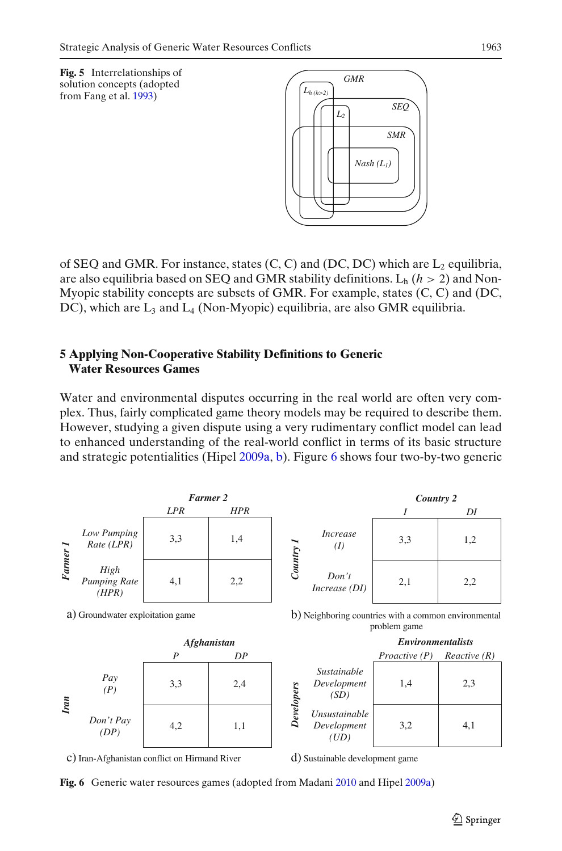<span id="page-14-0"></span>



of SEQ and GMR. For instance, states  $(C, C)$  and  $(DC, DC)$  which are  $L_2$  equilibria, are also equilibria based on SEQ and GMR stability definitions.  $L_h$  ( $h > 2$ ) and Non-Myopic stability concepts are subsets of GMR. For example, states  $(C, C)$  and  $(DC,$ DC), which are  $L_3$  and  $L_4$  (Non-Myopic) equilibria, are also GMR equilibria.

# **5 Applying Non-Cooperative Stability Definitions to Generic Water Resources Games**

Water and environmental disputes occurring in the real world are often very complex. Thus, fairly complicated game theory models may be required to describe them. However, studying a given dispute using a very rudimentary conflict model can lead to enhanced understanding of the real-world conflict in terms of its basic structure and strategic potentialities (Hipe[l](#page-26-0) [2009a](#page-26-0), [b\)](#page-26-0). Figure 6 shows four two-by-two generic



**Fig. 6** Generic water resources games (adopted from Madan[i](#page-27-0) [2010](#page-27-0) and Hipe[l](#page-26-0) [2009a](#page-26-0))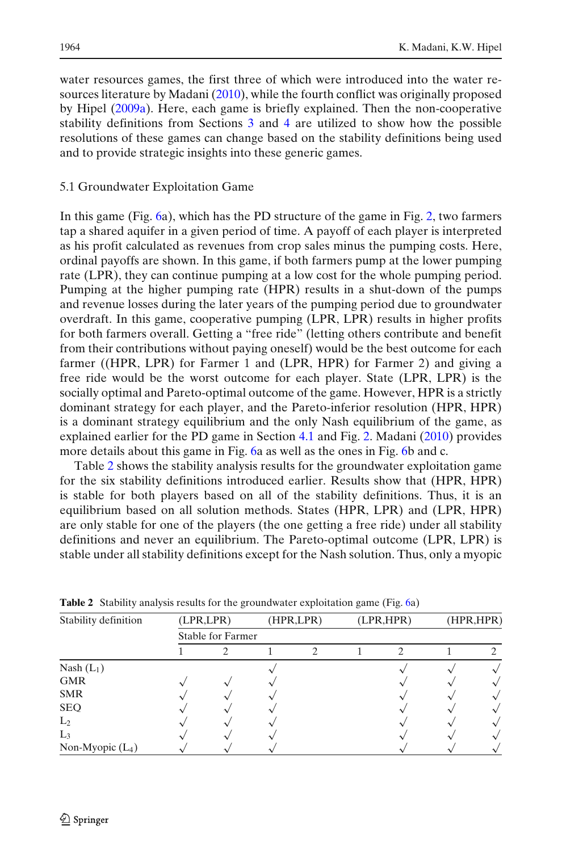water resources games, the first three of which were introduced into the water resources literature by Madan[i](#page-27-0) [\(2010](#page-27-0)), while the fourth conflict was originally proposed by Hipe[l](#page-26-0) [\(2009a](#page-26-0)). Here, each game is briefly explained. Then the non-cooperative stability definitions from Sections [3](#page-6-0) and [4](#page-8-0) are utilized to show how the possible resolutions of these games can change based on the stability definitions being used and to provide strategic insights into these generic games.

# 5.1 Groundwater Exploitation Game

In this game (Fig. [6a](#page-14-0)), which has the PD structure of the game in Fig. [2,](#page-9-0) two farmers tap a shared aquifer in a given period of time. A payoff of each player is interpreted as his profit calculated as revenues from crop sales minus the pumping costs. Here, ordinal payoffs are shown. In this game, if both farmers pump at the lower pumping rate (LPR), they can continue pumping at a low cost for the whole pumping period. Pumping at the higher pumping rate (HPR) results in a shut-down of the pumps and revenue losses during the later years of the pumping period due to groundwater overdraft. In this game, cooperative pumping (LPR, LPR) results in higher profits for both farmers overall. Getting a "free ride" (letting others contribute and benefit from their contributions without paying oneself) would be the best outcome for each farmer ((HPR, LPR) for Farmer 1 and (LPR, HPR) for Farmer 2) and giving a free ride would be the worst outcome for each player. State (LPR, LPR) is the socially optimal and Pareto-optimal outcome of the game. However, HPR is a strictly dominant strategy for each player, and the Pareto-inferior resolution (HPR, HPR) is a dominant strategy equilibrium and the only Nash equilibrium of the game, as explained earlier for the PD game in Section [4.1](#page-8-0) and Fig. [2.](#page-9-0) Madan[i](#page-27-0) [\(2010\)](#page-27-0) provides more details about this game in Fig. [6a](#page-14-0) as well as the ones in Fig. [6b](#page-14-0) and c.

Table 2 shows the stability analysis results for the groundwater exploitation game for the six stability definitions introduced earlier. Results show that (HPR, HPR) is stable for both players based on all of the stability definitions. Thus, it is an equilibrium based on all solution methods. States (HPR, LPR) and (LPR, HPR) are only stable for one of the players (the one getting a free ride) under all stability definitions and never an equilibrium. The Pareto-optimal outcome (LPR, LPR) is stable under all stability definitions except for the Nash solution. Thus, only a myopic

| Stability definition | (LPR,LPR)                |  | (HPR,LPR) |  | (LPR, HPR) |  | (HPR,HPR) |
|----------------------|--------------------------|--|-----------|--|------------|--|-----------|
|                      | <b>Stable for Farmer</b> |  |           |  |            |  |           |
|                      |                          |  |           |  |            |  |           |
| Nash $(L_1)$         |                          |  |           |  |            |  |           |
| <b>GMR</b>           |                          |  |           |  |            |  |           |
| <b>SMR</b>           |                          |  |           |  |            |  |           |
| <b>SEQ</b>           |                          |  |           |  |            |  |           |
| L <sub>2</sub>       |                          |  |           |  |            |  |           |
| L <sub>3</sub>       |                          |  |           |  |            |  |           |
| Non-Myopic $(L_4)$   |                          |  |           |  |            |  |           |

**Table 2** Stability analysis results for the groundwater exploitation game (Fig. [6a](#page-14-0))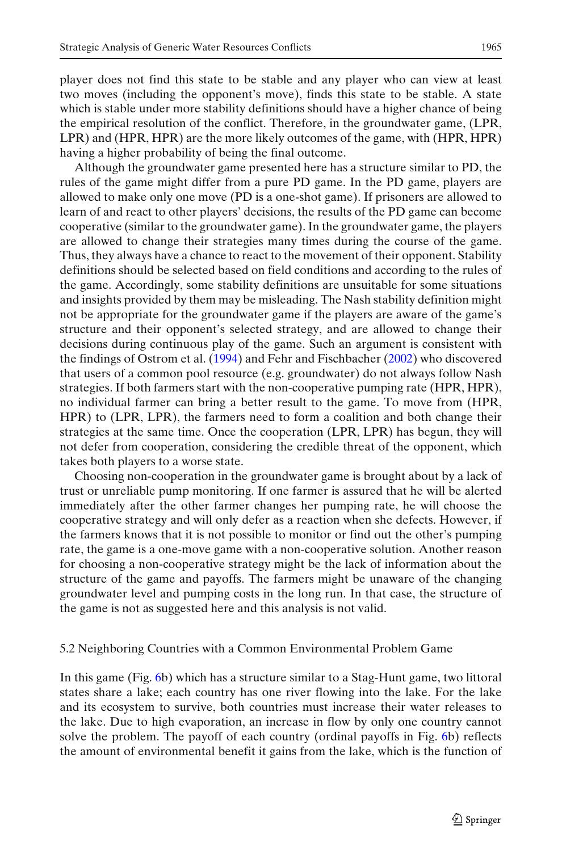player does not find this state to be stable and any player who can view at least two moves (including the opponent's move), finds this state to be stable. A state which is stable under more stability definitions should have a higher chance of being the empirical resolution of the conflict. Therefore, in the groundwater game, (LPR, LPR) and (HPR, HPR) are the more likely outcomes of the game, with (HPR, HPR) having a higher probability of being the final outcome.

Although the groundwater game presented here has a structure similar to PD, the rules of the game might differ from a pure PD game. In the PD game, players are allowed to make only one move (PD is a one-shot game). If prisoners are allowed to learn of and react to other players' decisions, the results of the PD game can become cooperative (similar to the groundwater game). In the groundwater game, the players are allowed to change their strategies many times during the course of the game. Thus, they always have a chance to react to the movement of their opponent. Stability definitions should be selected based on field conditions and according to the rules of the game. Accordingly, some stability definitions are unsuitable for some situations and insights provided by them may be misleading. The Nash stability definition might not be appropriate for the groundwater game if the players are aware of the game's structure and their opponent's selected strategy, and are allowed to change their decisions during continuous play of the game. Such an argument is consistent with the findings of Ostrom et al[.](#page-27-0) [\(1994](#page-27-0)) and Fehr and Fischbache[r](#page-25-0) [\(2002\)](#page-25-0) who discovered that users of a common pool resource (e.g. groundwater) do not always follow Nash strategies. If both farmers start with the non-cooperative pumping rate (HPR, HPR), no individual farmer can bring a better result to the game. To move from (HPR, HPR) to (LPR, LPR), the farmers need to form a coalition and both change their strategies at the same time. Once the cooperation (LPR, LPR) has begun, they will not defer from cooperation, considering the credible threat of the opponent, which takes both players to a worse state.

Choosing non-cooperation in the groundwater game is brought about by a lack of trust or unreliable pump monitoring. If one farmer is assured that he will be alerted immediately after the other farmer changes her pumping rate, he will choose the cooperative strategy and will only defer as a reaction when she defects. However, if the farmers knows that it is not possible to monitor or find out the other's pumping rate, the game is a one-move game with a non-cooperative solution. Another reason for choosing a non-cooperative strategy might be the lack of information about the structure of the game and payoffs. The farmers might be unaware of the changing groundwater level and pumping costs in the long run. In that case, the structure of the game is not as suggested here and this analysis is not valid.

#### 5.2 Neighboring Countries with a Common Environmental Problem Game

In this game (Fig. [6b](#page-14-0)) which has a structure similar to a Stag-Hunt game, two littoral states share a lake; each country has one river flowing into the lake. For the lake and its ecosystem to survive, both countries must increase their water releases to the lake. Due to high evaporation, an increase in flow by only one country cannot solve the problem. The payoff of each country (ordinal payoffs in Fig. [6b](#page-14-0)) reflects the amount of environmental benefit it gains from the lake, which is the function of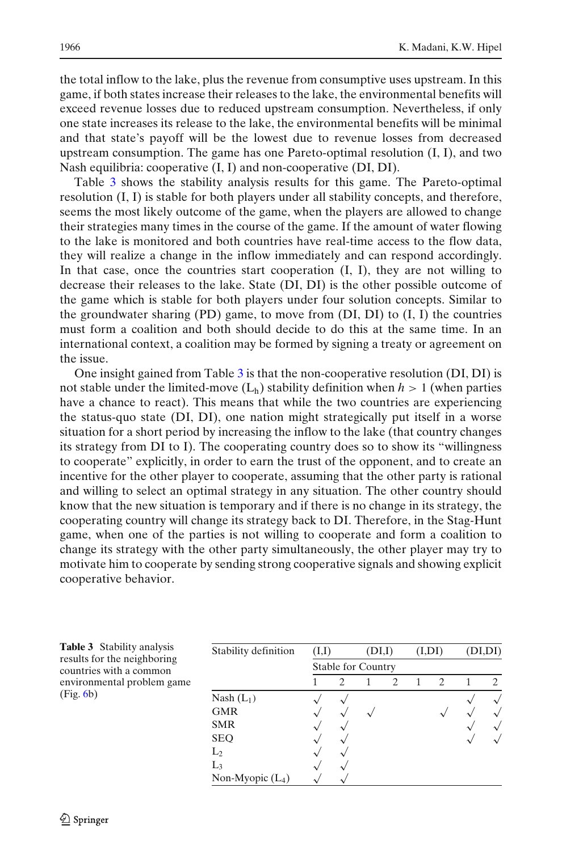the total inflow to the lake, plus the revenue from consumptive uses upstream. In this game, if both states increase their releases to the lake, the environmental benefits will exceed revenue losses due to reduced upstream consumption. Nevertheless, if only one state increases its release to the lake, the environmental benefits will be minimal and that state's payoff will be the lowest due to revenue losses from decreased upstream consumption. The game has one Pareto-optimal resolution (I, I), and two Nash equilibria: cooperative (I, I) and non-cooperative (DI, DI).

Table 3 shows the stability analysis results for this game. The Pareto-optimal resolution (I, I) is stable for both players under all stability concepts, and therefore, seems the most likely outcome of the game, when the players are allowed to change their strategies many times in the course of the game. If the amount of water flowing to the lake is monitored and both countries have real-time access to the flow data, they will realize a change in the inflow immediately and can respond accordingly. In that case, once the countries start cooperation  $(I, I)$ , they are not willing to decrease their releases to the lake. State (DI, DI) is the other possible outcome of the game which is stable for both players under four solution concepts. Similar to the groundwater sharing (PD) game, to move from (DI, DI) to (I, I) the countries must form a coalition and both should decide to do this at the same time. In an international context, a coalition may be formed by signing a treaty or agreement on the issue.

One insight gained from Table 3 is that the non-cooperative resolution (DI, DI) is not stable under the limited-move  $(L_h)$  stability definition when  $h > 1$  (when parties have a chance to react). This means that while the two countries are experiencing the status-quo state (DI, DI), one nation might strategically put itself in a worse situation for a short period by increasing the inflow to the lake (that country changes its strategy from DI to I). The cooperating country does so to show its "willingness to cooperate" explicitly, in order to earn the trust of the opponent, and to create an incentive for the other player to cooperate, assuming that the other party is rational and willing to select an optimal strategy in any situation. The other country should know that the new situation is temporary and if there is no change in its strategy, the cooperating country will change its strategy back to DI. Therefore, in the Stag-Hunt game, when one of the parties is not willing to cooperate and form a coalition to change its strategy with the other party simultaneously, the other player may try to motivate him to cooperate by sending strong cooperative signals and showing explicit cooperative behavior.

| <b>Table 3</b> Stability analysis<br>results for the neighboring<br>countries with a common<br>environmental problem game<br>(Fig. 6b) | Stability definition | (I,I)                     |   | (DI,I) |   | (I.DI) |               |  | (DI, DI) |  |
|----------------------------------------------------------------------------------------------------------------------------------------|----------------------|---------------------------|---|--------|---|--------|---------------|--|----------|--|
|                                                                                                                                        |                      | <b>Stable for Country</b> |   |        |   |        |               |  |          |  |
|                                                                                                                                        |                      |                           | 2 |        | 2 |        | $\mathcal{P}$ |  | 2        |  |
|                                                                                                                                        | Nash $(L_1)$         |                           |   |        |   |        |               |  |          |  |
|                                                                                                                                        | <b>GMR</b>           |                           |   |        |   |        | $\sim$        |  |          |  |
|                                                                                                                                        | <b>SMR</b>           |                           |   |        |   |        |               |  | $\sim$   |  |
|                                                                                                                                        | <b>SEO</b>           |                           |   |        |   |        |               |  |          |  |
|                                                                                                                                        | L <sub>2</sub>       |                           |   |        |   |        |               |  |          |  |
|                                                                                                                                        | $L_3$                |                           |   |        |   |        |               |  |          |  |
|                                                                                                                                        | Non-Myopic $(L_4)$   |                           |   |        |   |        |               |  |          |  |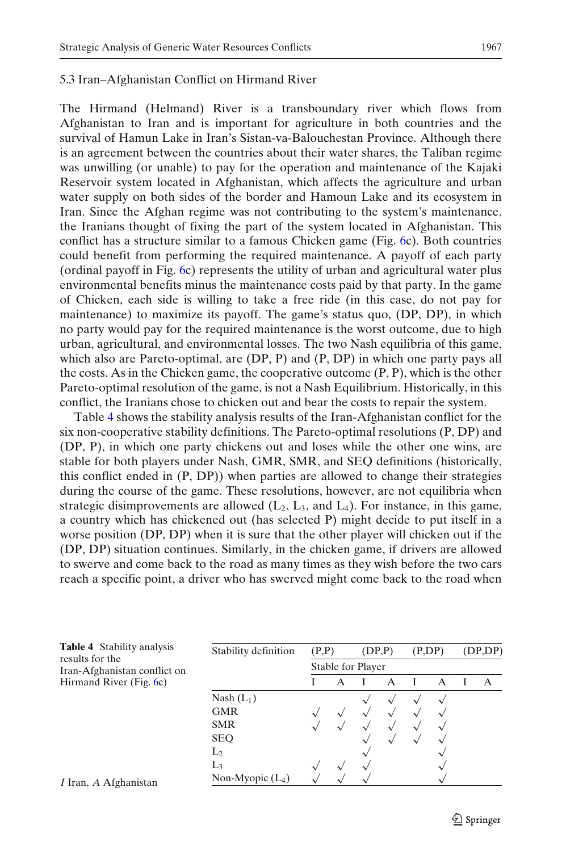#### 5.3 Iran–Afghanistan Conflict on Hirmand River

The Hirmand (Helmand) River is a transboundary river which flows from Afghanistan to Iran and is important for agriculture in both countries and the survival of Hamun Lake in Iran's Sistan-va-Balouchestan Province. Although there is an agreement between the countries about their water shares, the Taliban regime was unwilling (or unable) to pay for the operation and maintenance of the Kajaki Reservoir system located in Afghanistan, which affects the agriculture and urban water supply on both sides of the border and Hamoun Lake and its ecosystem in Iran. Since the Afghan regime was not contributing to the system's maintenance, the Iranians thought of fixing the part of the system located in Afghanistan. This conflict has a structure similar to a famous Chicken game (Fig. [6c](#page-14-0)). Both countries could benefit from performing the required maintenance. A payoff of each party (ordinal payoff in Fig. [6c](#page-14-0)) represents the utility of urban and agricultural water plus environmental benefits minus the maintenance costs paid by that party. In the game of Chicken, each side is willing to take a free ride (in this case, do not pay for maintenance) to maximize its payoff. The game's status quo, (DP, DP), in which no party would pay for the required maintenance is the worst outcome, due to high urban, agricultural, and environmental losses. The two Nash equilibria of this game, which also are Pareto-optimal, are (DP, P) and (P, DP) in which one party pays all the costs. As in the Chicken game, the cooperative outcome (P, P), which is the other Pareto-optimal resolution of the game, is not a Nash Equilibrium. Historically, in this conflict, the Iranians chose to chicken out and bear the costs to repair the system.

Table 4 shows the stability analysis results of the Iran-Afghanistan conflict for the six non-cooperative stability definitions. The Pareto-optimal resolutions (P, DP) and (DP, P), in which one party chickens out and loses while the other one wins, are stable for both players under Nash, GMR, SMR, and SEQ definitions (historically, this conflict ended in (P, DP)) when parties are allowed to change their strategies during the course of the game. These resolutions, however, are not equilibria when strategic disimprovements are allowed  $(L_2, L_3, \text{ and } L_4)$ . For instance, in this game, a country which has chickened out (has selected P) might decide to put itself in a worse position (DP, DP) when it is sure that the other player will chicken out if the (DP, DP) situation continues. Similarly, in the chicken game, if drivers are allowed to swerve and come back to the road as many times as they wish before the two cars reach a specific point, a driver who has swerved might come back to the road when

| <b>Table 4</b> Stability analysis               | Stability definition | (P,P) |   | (DP,P)            |   | (P,DP) |   | (DP,DP) |   |
|-------------------------------------------------|----------------------|-------|---|-------------------|---|--------|---|---------|---|
| results for the<br>Iran-Afghanistan conflict on |                      |       |   | Stable for Player |   |        |   |         |   |
| Hirmand River (Fig. 6c)                         |                      |       | A |                   | A |        | A |         | А |
|                                                 | Nash $(L_1)$         |       |   |                   |   |        |   |         |   |
|                                                 | <b>GMR</b>           |       |   |                   |   |        |   |         |   |
|                                                 | <b>SMR</b>           |       |   |                   |   |        |   |         |   |
|                                                 | <b>SEO</b>           |       |   |                   |   |        |   |         |   |
|                                                 | L <sub>2</sub>       |       |   |                   |   |        |   |         |   |
|                                                 | $L_3$                |       |   |                   |   |        |   |         |   |
| I Iran, A Afghanistan                           | Non-Myopic $(L_4)$   |       |   |                   |   |        |   |         |   |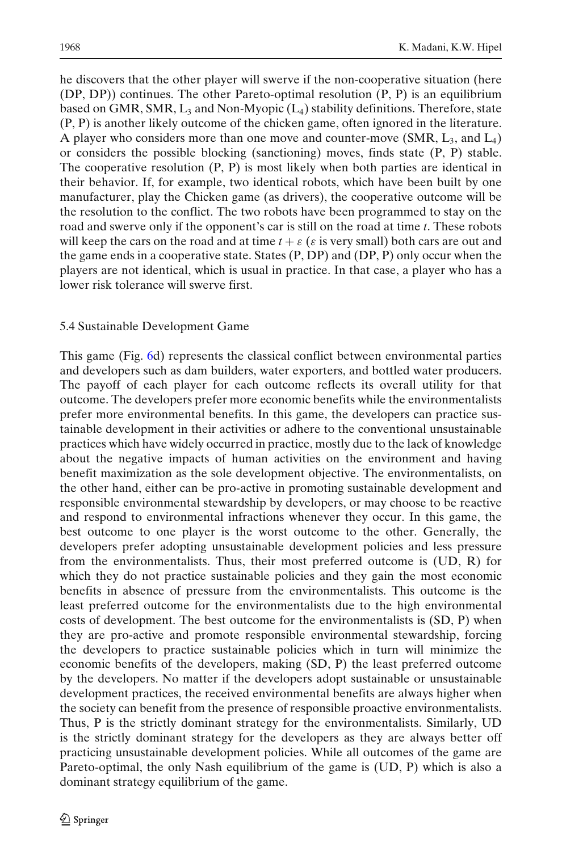he discovers that the other player will swerve if the non-cooperative situation (here (DP, DP)) continues. The other Pareto-optimal resolution (P, P) is an equilibrium based on GMR, SMR,  $L_3$  and Non-Myopic  $(L_4)$  stability definitions. Therefore, state (P, P) is another likely outcome of the chicken game, often ignored in the literature. A player who considers more than one move and counter-move (SMR,  $L_3$ , and  $L_4$ ) or considers the possible blocking (sanctioning) moves, finds state (P, P) stable. The cooperative resolution (P, P) is most likely when both parties are identical in their behavior. If, for example, two identical robots, which have been built by one manufacturer, play the Chicken game (as drivers), the cooperative outcome will be the resolution to the conflict. The two robots have been programmed to stay on the road and swerve only if the opponent's car is still on the road at time *t*. These robots will keep the cars on the road and at time  $t + \varepsilon$  ( $\varepsilon$  is very small) both cars are out and the game ends in a cooperative state. States (P, DP) and (DP, P) only occur when the players are not identical, which is usual in practice. In that case, a player who has a lower risk tolerance will swerve first.

# 5.4 Sustainable Development Game

This game (Fig. [6d](#page-14-0)) represents the classical conflict between environmental parties and developers such as dam builders, water exporters, and bottled water producers. The payoff of each player for each outcome reflects its overall utility for that outcome. The developers prefer more economic benefits while the environmentalists prefer more environmental benefits. In this game, the developers can practice sustainable development in their activities or adhere to the conventional unsustainable practices which have widely occurred in practice, mostly due to the lack of knowledge about the negative impacts of human activities on the environment and having benefit maximization as the sole development objective. The environmentalists, on the other hand, either can be pro-active in promoting sustainable development and responsible environmental stewardship by developers, or may choose to be reactive and respond to environmental infractions whenever they occur. In this game, the best outcome to one player is the worst outcome to the other. Generally, the developers prefer adopting unsustainable development policies and less pressure from the environmentalists. Thus, their most preferred outcome is (UD, R) for which they do not practice sustainable policies and they gain the most economic benefits in absence of pressure from the environmentalists. This outcome is the least preferred outcome for the environmentalists due to the high environmental costs of development. The best outcome for the environmentalists is (SD, P) when they are pro-active and promote responsible environmental stewardship, forcing the developers to practice sustainable policies which in turn will minimize the economic benefits of the developers, making (SD, P) the least preferred outcome by the developers. No matter if the developers adopt sustainable or unsustainable development practices, the received environmental benefits are always higher when the society can benefit from the presence of responsible proactive environmentalists. Thus, P is the strictly dominant strategy for the environmentalists. Similarly, UD is the strictly dominant strategy for the developers as they are always better off practicing unsustainable development policies. While all outcomes of the game are Pareto-optimal, the only Nash equilibrium of the game is (UD, P) which is also a dominant strategy equilibrium of the game.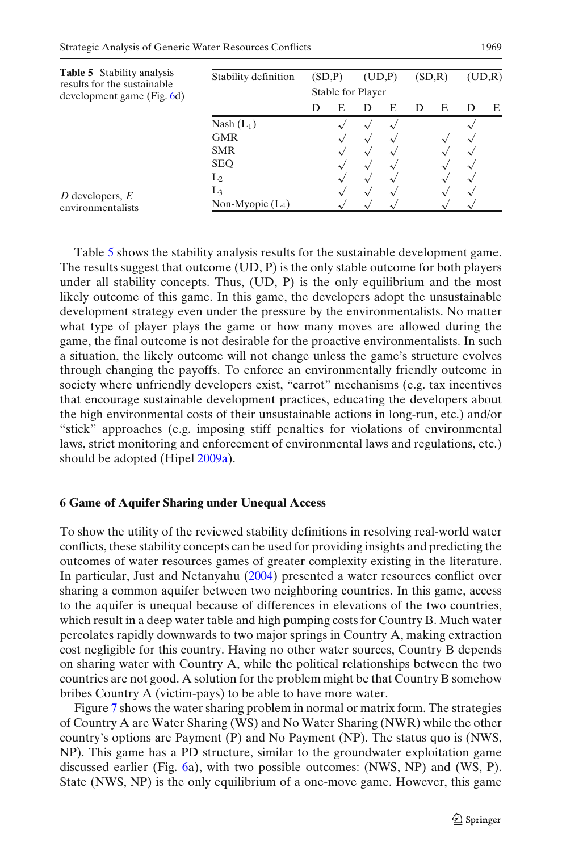<span id="page-20-0"></span>

| <b>Table 5</b> Stability analysis<br>results for the sustainable | Stability definition        | (SD,P) |                   | (UD,P)       |   | (SD,R) |   | (UD.R) |   |
|------------------------------------------------------------------|-----------------------------|--------|-------------------|--------------|---|--------|---|--------|---|
| development game (Fig. 6d)                                       |                             |        | Stable for Player |              |   |        |   |        |   |
|                                                                  |                             |        | E                 | D            | E |        | Е | Ð      | E |
|                                                                  | Nash $(L_1)$                |        |                   | $\sim$       |   |        |   |        |   |
|                                                                  | <b>GMR</b>                  |        |                   |              |   |        |   |        |   |
|                                                                  | <b>SMR</b>                  |        |                   |              |   |        |   |        |   |
|                                                                  | <b>SEO</b>                  |        |                   |              |   |        |   |        |   |
|                                                                  | L <sub>2</sub>              |        |                   | $\checkmark$ |   |        |   |        |   |
| D developers, $E$<br>environmentalists                           | $L_3$<br>Non-Myopic $(L_4)$ |        |                   |              |   |        |   |        |   |

Table 5 shows the stability analysis results for the sustainable development game. The results suggest that outcome (UD, P) is the only stable outcome for both players under all stability concepts. Thus,  $(UD, P)$  is the only equilibrium and the most likely outcome of this game. In this game, the developers adopt the unsustainable development strategy even under the pressure by the environmentalists. No matter what type of player plays the game or how many moves are allowed during the game, the final outcome is not desirable for the proactive environmentalists. In such a situation, the likely outcome will not change unless the game's structure evolves through changing the payoffs. To enforce an environmentally friendly outcome in society where unfriendly developers exist, "carrot" mechanisms (e.g. tax incentives that encourage sustainable development practices, educating the developers about the high environmental costs of their unsustainable actions in long-run, etc.) and/or "stick" approaches (e.g. imposing stiff penalties for violations of environmental laws, strict monitoring and enforcement of environmental laws and regulations, etc.) should be adopted (Hipe[l](#page-26-0) [2009a](#page-26-0)).

### **6 Game of Aquifer Sharing under Unequal Access**

To show the utility of the reviewed stability definitions in resolving real-world water conflicts, these stability concepts can be used for providing insights and predicting the outcomes of water resources games of greater complexity existing in the literature. In particular, Just and Netanyah[u](#page-26-0) [\(2004\)](#page-26-0) presented a water resources conflict over sharing a common aquifer between two neighboring countries. In this game, access to the aquifer is unequal because of differences in elevations of the two countries, which result in a deep water table and high pumping costs for Country B. Much water percolates rapidly downwards to two major springs in Country A, making extraction cost negligible for this country. Having no other water sources, Country B depends on sharing water with Country A, while the political relationships between the two countries are not good. A solution for the problem might be that Country B somehow bribes Country A (victim-pays) to be able to have more water.

Figure [7](#page-21-0) shows the water sharing problem in normal or matrix form. The strategies of Country A are Water Sharing (WS) and No Water Sharing (NWR) while the other country's options are Payment (P) and No Payment (NP). The status quo is (NWS, NP). This game has a PD structure, similar to the groundwater exploitation game discussed earlier (Fig. [6a](#page-14-0)), with two possible outcomes: (NWS, NP) and (WS, P). State (NWS, NP) is the only equilibrium of a one-move game. However, this game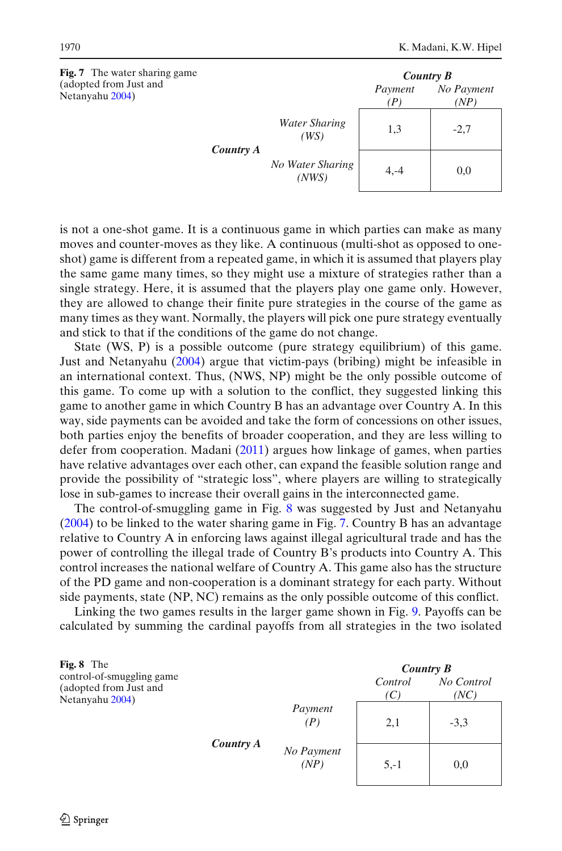<span id="page-21-0"></span>**Fig. 7** The water sharing game (adopted from Just and Netanyah[u](#page-26-0) [2004\)](#page-26-0)

|           |                           | <b>Country B</b> |            |  |  |  |
|-----------|---------------------------|------------------|------------|--|--|--|
|           |                           | Payment          | No Payment |  |  |  |
|           |                           |                  | (NP.       |  |  |  |
| Country A | Water Sharing<br>(WS)     | 1,3              | $-2,7$     |  |  |  |
|           | No Water Sharing<br>(NWS) | $4, -4$          | 0,0        |  |  |  |

is not a one-shot game. It is a continuous game in which parties can make as many moves and counter-moves as they like. A continuous (multi-shot as opposed to oneshot) game is different from a repeated game, in which it is assumed that players play the same game many times, so they might use a mixture of strategies rather than a single strategy. Here, it is assumed that the players play one game only. However, they are allowed to change their finite pure strategies in the course of the game as many times as they want. Normally, the players will pick one pure strategy eventually and stick to that if the conditions of the game do not change.

State (WS, P) is a possible outcome (pure strategy equilibrium) of this game. Just and Netanyah[u](#page-26-0) [\(2004\)](#page-26-0) argue that victim-pays (bribing) might be infeasible in an international context. Thus, (NWS, NP) might be the only possible outcome of this game. To come up with a solution to the conflict, they suggested linking this game to another game in which Country B has an advantage over Country A. In this way, side payments can be avoided and take the form of concessions on other issues, both parties enjoy the benefits of broader cooperation, and they are less willing to defer from cooperation. Madani [\(2011\)](#page-27-0) argues how linkage of games, when parties have relative advantages over each other, can expand the feasible solution range and provide the possibility of "strategic loss", where players are willing to strategically lose in sub-games to increase their overall gains in the interconnected game.

The control-of-smuggling game in Fig. 8 was suggested by Just and Netanyahu [\(2004](#page-26-0)) to be linked to the water sharing game in Fig. 7. Country B has an advantage relative to Country A in enforcing laws against illegal agricultural trade and has the power of controlling the illegal trade of Country B's products into Country A. This control increases the national welfare of Country A. This game also has the structure of the PD game and non-cooperation is a dominant strategy for each party. Without side payments, state (NP, NC) remains as the only possible outcome of this conflict.

Linking the two games results in the larger game shown in Fig. [9.](#page-22-0) Payoffs can be calculated by summing the cardinal payoffs from all strategies in the two isolated

| Fig. 8 The<br>control-of-smuggling game<br>(adopted from Just and<br>Netanyahu 2004) |           |                    | <b>Country B</b><br>Control<br>(C) | No Control<br>(NC) |
|--------------------------------------------------------------------------------------|-----------|--------------------|------------------------------------|--------------------|
|                                                                                      |           | Payment<br>(P)     | 2,1                                | $-3,3$             |
|                                                                                      | Country A | No Payment<br>(NP) | $5,-1$                             | 0.0                |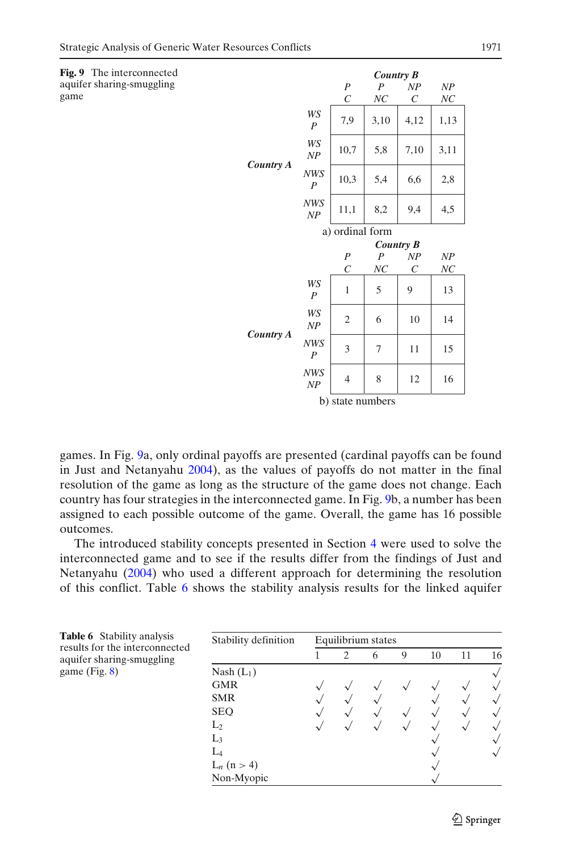<span id="page-22-0"></span>

games. In Fig. 9a, only ordinal payoffs are presented (cardinal payoffs can be found in Just and Netanyah[u](#page-26-0) [2004](#page-26-0)), as the values of payoffs do not matter in the final resolution of the game as long as the structure of the game does not change. Each country has four strategies in the interconnected game. In Fig. 9b, a number has been assigned to each possible outcome of the game. Overall, the game has 16 possible outcomes.

The introduced stability concepts presented in Section [4](#page-8-0) were used to solve the interconnected game and to see if the results differ from the findings of Just and Netanyah[u](#page-26-0) [\(2004\)](#page-26-0) who used a different approach for determining the resolution of this conflict. Table 6 shows the stability analysis results for the linked aquifer

| <b>Table 6</b> Stability analysis<br>results for the interconnected<br>aquifer sharing-smuggling<br>game (Fig. $8$ ) | Stability definition | Equilibrium states |        |   |        |    |              |    |  |
|----------------------------------------------------------------------------------------------------------------------|----------------------|--------------------|--------|---|--------|----|--------------|----|--|
|                                                                                                                      |                      |                    | 2      | 6 | 9      | 10 | 11           | 16 |  |
|                                                                                                                      | Nash $(L_1)$         |                    |        |   |        |    |              |    |  |
|                                                                                                                      | <b>GMR</b>           |                    |        |   |        |    |              |    |  |
|                                                                                                                      | <b>SMR</b>           |                    |        |   |        |    |              |    |  |
|                                                                                                                      | <b>SEO</b>           |                    | $\sim$ |   | $\sim$ |    |              |    |  |
|                                                                                                                      | L <sub>2</sub>       |                    |        |   |        |    | $\checkmark$ |    |  |
|                                                                                                                      | $L_3$                |                    |        |   |        |    |              |    |  |
|                                                                                                                      | $L_4$                |                    |        |   |        |    |              |    |  |
|                                                                                                                      | $L_n$ (n > 4)        |                    |        |   |        |    |              |    |  |
|                                                                                                                      | Non-Myopic           |                    |        |   |        |    |              |    |  |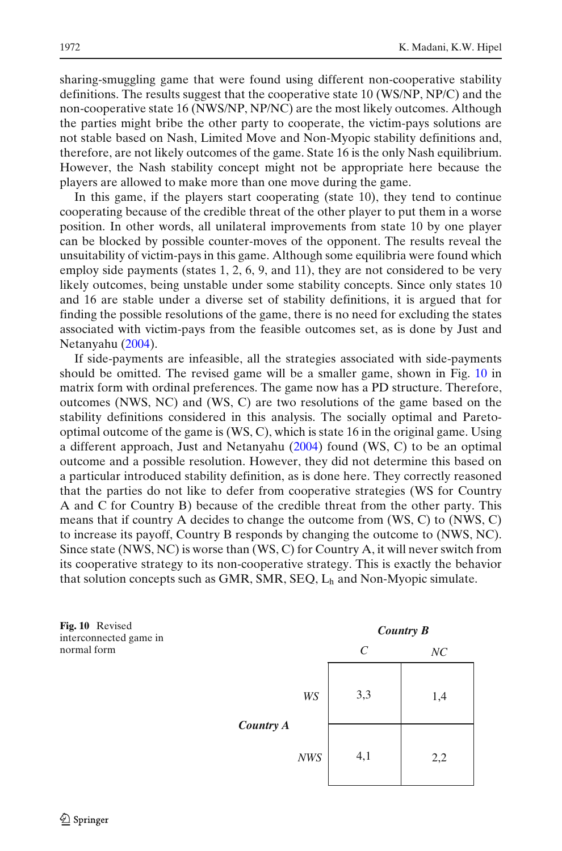sharing-smuggling game that were found using different non-cooperative stability definitions. The results suggest that the cooperative state 10 (WS/NP, NP/C) and the non-cooperative state 16 (NWS/NP, NP/NC) are the most likely outcomes. Although the parties might bribe the other party to cooperate, the victim-pays solutions are not stable based on Nash, Limited Move and Non-Myopic stability definitions and, therefore, are not likely outcomes of the game. State 16 is the only Nash equilibrium. However, the Nash stability concept might not be appropriate here because the players are allowed to make more than one move during the game.

In this game, if the players start cooperating (state 10), they tend to continue cooperating because of the credible threat of the other player to put them in a worse position. In other words, all unilateral improvements from state 10 by one player can be blocked by possible counter-moves of the opponent. The results reveal the unsuitability of victim-pays in this game. Although some equilibria were found which employ side payments (states 1, 2, 6, 9, and 11), they are not considered to be very likely outcomes, being unstable under some stability concepts. Since only states 10 and 16 are stable under a diverse set of stability definitions, it is argued that for finding the possible resolutions of the game, there is no need for excluding the states associated with victim-pays from the feasible outcomes set, as is done by Just and Netanyah[u](#page-26-0) [\(2004](#page-26-0)).

If side-payments are infeasible, all the strategies associated with side-payments should be omitted. The revised game will be a smaller game, shown in Fig. 10 in matrix form with ordinal preferences. The game now has a PD structure. Therefore, outcomes (NWS, NC) and (WS, C) are two resolutions of the game based on the stability definitions considered in this analysis. The socially optimal and Paretooptimal outcome of the game is (WS, C), which is state 16 in the original game. Using a different approach, J[u](#page-26-0)st and Netanyahu  $(2004)$  found (WS, C) to be an optimal outcome and a possible resolution. However, they did not determine this based on a particular introduced stability definition, as is done here. They correctly reasoned that the parties do not like to defer from cooperative strategies (WS for Country A and C for Country B) because of the credible threat from the other party. This means that if country A decides to change the outcome from (WS, C) to (NWS, C) to increase its payoff, Country B responds by changing the outcome to (NWS, NC). Since state (NWS, NC) is worse than (WS, C) for Country A, it will never switch from its cooperative strategy to its non-cooperative strategy. This is exactly the behavior that solution concepts such as GMR, SMR,  $SEQ$ ,  $L_h$  and Non-Myopic simulate.

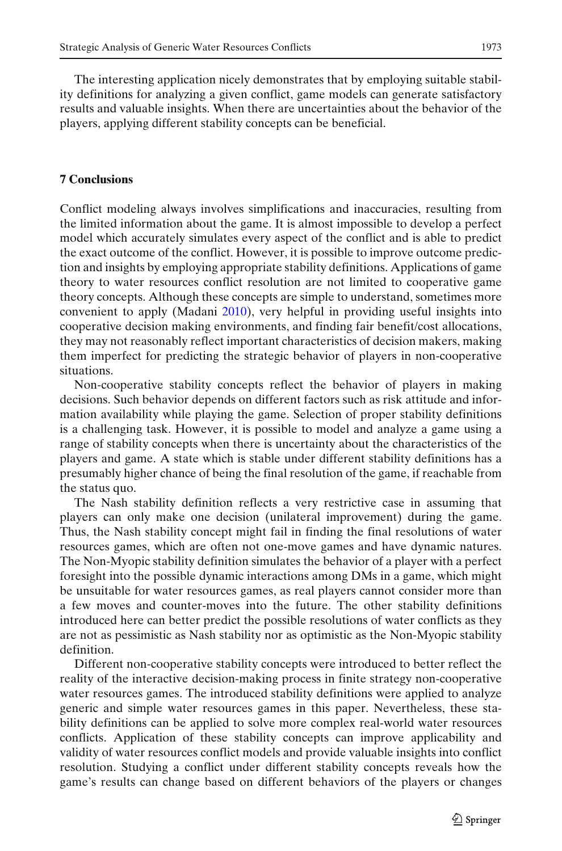The interesting application nicely demonstrates that by employing suitable stability definitions for analyzing a given conflict, game models can generate satisfactory results and valuable insights. When there are uncertainties about the behavior of the players, applying different stability concepts can be beneficial.

## **7 Conclusions**

Conflict modeling always involves simplifications and inaccuracies, resulting from the limited information about the game. It is almost impossible to develop a perfect model which accurately simulates every aspect of the conflict and is able to predict the exact outcome of the conflict. However, it is possible to improve outcome prediction and insights by employing appropriate stability definitions. Applications of game theory to water resources conflict resolution are not limited to cooperative game theory concepts. Although these concepts are simple to understand, sometimes more convenient to apply (Madan[i](#page-27-0) [2010\)](#page-27-0), very helpful in providing useful insights into cooperative decision making environments, and finding fair benefit/cost allocations, they may not reasonably reflect important characteristics of decision makers, making them imperfect for predicting the strategic behavior of players in non-cooperative situations.

Non-cooperative stability concepts reflect the behavior of players in making decisions. Such behavior depends on different factors such as risk attitude and information availability while playing the game. Selection of proper stability definitions is a challenging task. However, it is possible to model and analyze a game using a range of stability concepts when there is uncertainty about the characteristics of the players and game. A state which is stable under different stability definitions has a presumably higher chance of being the final resolution of the game, if reachable from the status quo.

The Nash stability definition reflects a very restrictive case in assuming that players can only make one decision (unilateral improvement) during the game. Thus, the Nash stability concept might fail in finding the final resolutions of water resources games, which are often not one-move games and have dynamic natures. The Non-Myopic stability definition simulates the behavior of a player with a perfect foresight into the possible dynamic interactions among DMs in a game, which might be unsuitable for water resources games, as real players cannot consider more than a few moves and counter-moves into the future. The other stability definitions introduced here can better predict the possible resolutions of water conflicts as they are not as pessimistic as Nash stability nor as optimistic as the Non-Myopic stability definition.

Different non-cooperative stability concepts were introduced to better reflect the reality of the interactive decision-making process in finite strategy non-cooperative water resources games. The introduced stability definitions were applied to analyze generic and simple water resources games in this paper. Nevertheless, these stability definitions can be applied to solve more complex real-world water resources conflicts. Application of these stability concepts can improve applicability and validity of water resources conflict models and provide valuable insights into conflict resolution. Studying a conflict under different stability concepts reveals how the game's results can change based on different behaviors of the players or changes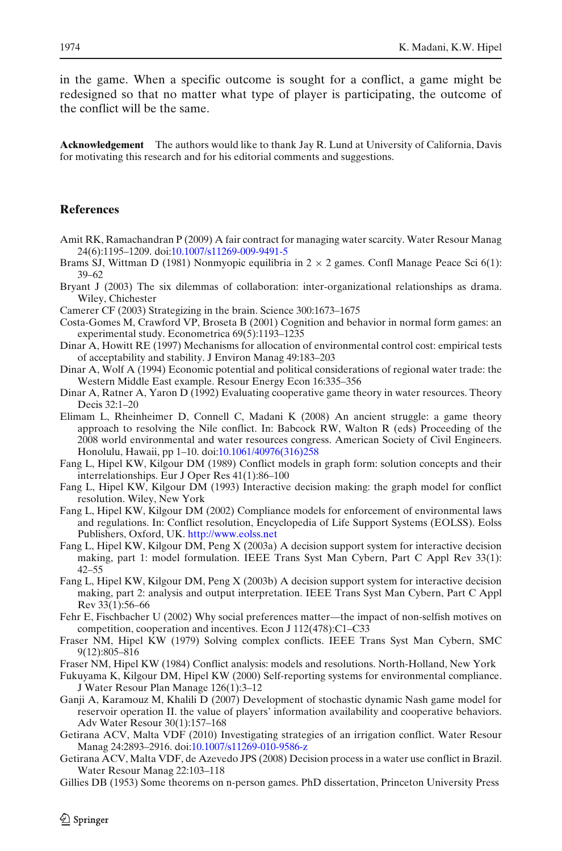<span id="page-25-0"></span>in the game. When a specific outcome is sought for a conflict, a game might be redesigned so that no matter what type of player is participating, the outcome of the conflict will be the same.

**Acknowledgement** The authors would like to thank Jay R. Lund at University of California, Davis for motivating this research and for his editorial comments and suggestions.

### **References**

- Amit RK, Ramachandran P (2009) A fair contract for managing water scarcity. Water Resour Manag 24(6):1195–1209. doi[:10.1007/s11269-009-9491-5](http://dx.doi.org/10.1007/s11269-009-9491-5)
- Brams SJ, Wittman D (1981) Nonmyopic equilibria in  $2 \times 2$  games. Confl Manage Peace Sci 6(1): 39–62
- Bryant J (2003) The six dilemmas of collaboration: inter-organizational relationships as drama. Wiley, Chichester
- Camerer CF (2003) Strategizing in the brain. Science 300:1673–1675
- Costa-Gomes M, Crawford VP, Broseta B (2001) Cognition and behavior in normal form games: an experimental study. Econometrica 69(5):1193–1235
- Dinar A, Howitt RE (1997) Mechanisms for allocation of environmental control cost: empirical tests of acceptability and stability. J Environ Manag 49:183–203
- Dinar A, Wolf A (1994) Economic potential and political considerations of regional water trade: the Western Middle East example. Resour Energy Econ 16:335–356
- Dinar A, Ratner A, Yaron D (1992) Evaluating cooperative game theory in water resources. Theory Decis 32:1–20
- Elimam L, Rheinheimer D, Connell C, Madani K (2008) An ancient struggle: a game theory approach to resolving the Nile conflict. In: Babcock RW, Walton R (eds) Proceeding of the 2008 world environmental and water resources congress. American Society of Civil Engineers. Honolulu, Hawaii, pp 1–10. doi[:10.1061/40976\(316\)258](http://dx.doi.org/10.1061/40976(316)258)
- Fang L, Hipel KW, Kilgour DM (1989) Conflict models in graph form: solution concepts and their interrelationships. Eur J Oper Res 41(1):86–100
- Fang L, Hipel KW, Kilgour DM (1993) Interactive decision making: the graph model for conflict resolution. Wiley, New York
- Fang L, Hipel KW, Kilgour DM (2002) Compliance models for enforcement of environmental laws and regulations. In: Conflict resolution, Encyclopedia of Life Support Systems (EOLSS). Eolss Publishers, Oxford, UK. <http://www.eolss.net>
- Fang L, Hipel KW, Kilgour DM, Peng X (2003a) A decision support system for interactive decision making, part 1: model formulation. IEEE Trans Syst Man Cybern, Part C Appl Rev 33(1): 42–55
- Fang L, Hipel KW, Kilgour DM, Peng X (2003b) A decision support system for interactive decision making, part 2: analysis and output interpretation. IEEE Trans Syst Man Cybern, Part C Appl Rev 33(1):56–66
- Fehr E, Fischbacher U (2002) Why social preferences matter—the impact of non-selfish motives on competition, cooperation and incentives. Econ J 112(478):C1–C33
- Fraser NM, Hipel KW (1979) Solving complex conflicts. IEEE Trans Syst Man Cybern, SMC 9(12):805–816
- Fraser NM, Hipel KW (1984) Conflict analysis: models and resolutions. North-Holland, New York
- Fukuyama K, Kilgour DM, Hipel KW (2000) Self-reporting systems for environmental compliance. J Water Resour Plan Manage 126(1):3–12
- Ganji A, Karamouz M, Khalili D (2007) Development of stochastic dynamic Nash game model for reservoir operation II. the value of players' information availability and cooperative behaviors. Adv Water Resour 30(1):157–168
- Getirana ACV, Malta VDF (2010) Investigating strategies of an irrigation conflict. Water Resour Manag 24:2893–2916. doi[:10.1007/s11269-010-9586-z](http://dx.doi.org/10.1007/s11269-010-9586-z)
- Getirana ACV, Malta VDF, de Azevedo JPS (2008) Decision process in a water use conflict in Brazil. Water Resour Manag 22:103–118
- Gillies DB (1953) Some theorems on n-person games. PhD dissertation, Princeton University Press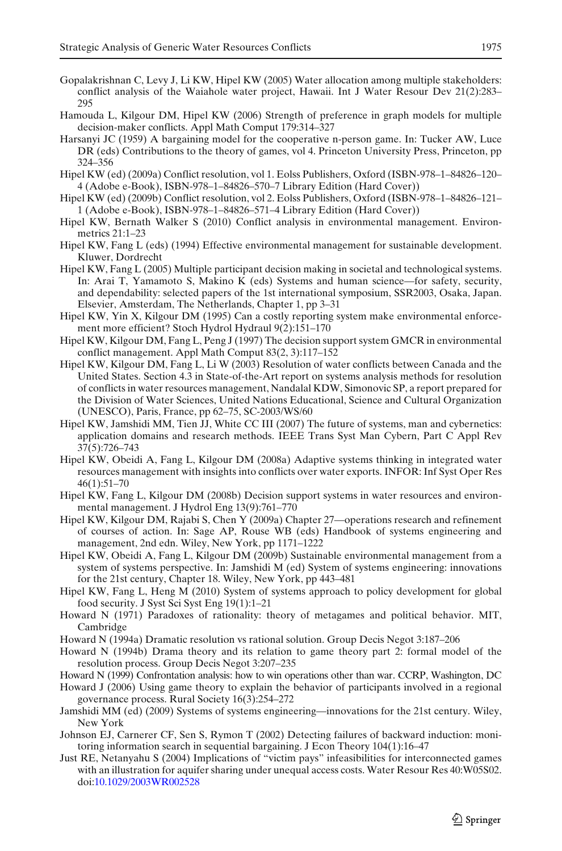- <span id="page-26-0"></span>Gopalakrishnan C, Levy J, Li KW, Hipel KW (2005) Water allocation among multiple stakeholders: conflict analysis of the Waiahole water project, Hawaii. Int J Water Resour Dev 21(2):283– 295
- Hamouda L, Kilgour DM, Hipel KW (2006) Strength of preference in graph models for multiple decision-maker conflicts. Appl Math Comput 179:314–327
- Harsanyi JC (1959) A bargaining model for the cooperative n-person game. In: Tucker AW, Luce DR (eds) Contributions to the theory of games, vol 4. Princeton University Press, Princeton, pp 324–356
- Hipel KW (ed) (2009a) Conflict resolution, vol 1. Eolss Publishers, Oxford (ISBN-978–1–84826–120– 4 (Adobe e-Book), ISBN-978–1–84826–570–7 Library Edition (Hard Cover))
- Hipel KW (ed) (2009b) Conflict resolution, vol 2. Eolss Publishers, Oxford (ISBN-978–1–84826–121– 1 (Adobe e-Book), ISBN-978–1–84826–571–4 Library Edition (Hard Cover))
- Hipel KW, Bernath Walker S (2010) Conflict analysis in environmental management. Environmetrics 21:1–23
- Hipel KW, Fang L (eds) (1994) Effective environmental management for sustainable development. Kluwer, Dordrecht
- Hipel KW, Fang L (2005) Multiple participant decision making in societal and technological systems. In: Arai T, Yamamoto S, Makino K (eds) Systems and human science—for safety, security, and dependability: selected papers of the 1st international symposium, SSR2003, Osaka, Japan. Elsevier, Amsterdam, The Netherlands, Chapter 1, pp 3–31
- Hipel KW, Yin X, Kilgour DM (1995) Can a costly reporting system make environmental enforcement more efficient? Stoch Hydrol Hydraul 9(2):151–170
- Hipel KW, Kilgour DM, Fang L, Peng J (1997) The decision support system GMCR in environmental conflict management. Appl Math Comput 83(2, 3):117–152
- Hipel KW, Kilgour DM, Fang L, Li W (2003) Resolution of water conflicts between Canada and the United States. Section 4.3 in State-of-the-Art report on systems analysis methods for resolution of conflicts in water resources management, Nandalal KDW, Simonovic SP, a report prepared for the Division of Water Sciences, United Nations Educational, Science and Cultural Organization (UNESCO), Paris, France, pp 62–75, SC-2003/WS/60
- Hipel KW, Jamshidi MM, Tien JJ, White CC III (2007) The future of systems, man and cybernetics: application domains and research methods. IEEE Trans Syst Man Cybern, Part C Appl Rev 37(5):726–743
- Hipel KW, Obeidi A, Fang L, Kilgour DM (2008a) Adaptive systems thinking in integrated water resources management with insights into conflicts over water exports. INFOR: Inf Syst Oper Res 46(1):51–70
- Hipel KW, Fang L, Kilgour DM (2008b) Decision support systems in water resources and environmental management. J Hydrol Eng 13(9):761–770
- Hipel KW, Kilgour DM, Rajabi S, Chen Y (2009a) Chapter 27—operations research and refinement of courses of action. In: Sage AP, Rouse WB (eds) Handbook of systems engineering and management, 2nd edn. Wiley, New York, pp 1171–1222
- Hipel KW, Obeidi A, Fang L, Kilgour DM (2009b) Sustainable environmental management from a system of systems perspective. In: Jamshidi M (ed) System of systems engineering: innovations for the 21st century, Chapter 18. Wiley, New York, pp 443–481
- Hipel KW, Fang L, Heng M (2010) System of systems approach to policy development for global food security. J Syst Sci Syst Eng 19(1):1–21
- Howard N (1971) Paradoxes of rationality: theory of metagames and political behavior. MIT, Cambridge
- Howard N (1994a) Dramatic resolution vs rational solution. Group Decis Negot 3:187–206
- Howard N (1994b) Drama theory and its relation to game theory part 2: formal model of the resolution process. Group Decis Negot 3:207–235
- Howard N (1999) Confrontation analysis: how to win operations other than war. CCRP, Washington, DC
- Howard J (2006) Using game theory to explain the behavior of participants involved in a regional governance process. Rural Society 16(3):254–272
- Jamshidi MM (ed) (2009) Systems of systems engineering—innovations for the 21st century. Wiley, New York
- Johnson EJ, Carnerer CF, Sen S, Rymon T (2002) Detecting failures of backward induction: monitoring information search in sequential bargaining. J Econ Theory 104(1):16–47
- Just RE, Netanyahu S (2004) Implications of "victim pays" infeasibilities for interconnected games with an illustration for aquifer sharing under unequal access costs. Water Resour Res 40:W05S02. doi[:10.1029/2003WR002528](http://dx.doi.org/10.1029/2003WR002528)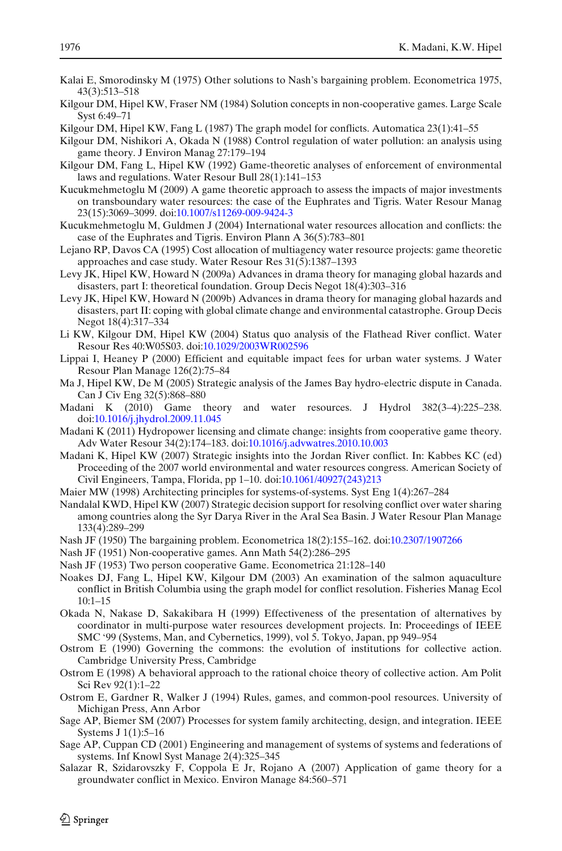- <span id="page-27-0"></span>Kalai E, Smorodinsky M (1975) Other solutions to Nash's bargaining problem. Econometrica 1975, 43(3):513–518
- Kilgour DM, Hipel KW, Fraser NM (1984) Solution concepts in non-cooperative games. Large Scale Syst 6:49–71
- Kilgour DM, Hipel KW, Fang L (1987) The graph model for conflicts. Automatica 23(1):41–55
- Kilgour DM, Nishikori A, Okada N (1988) Control regulation of water pollution: an analysis using game theory. J Environ Manag 27:179–194
- Kilgour DM, Fang L, Hipel KW (1992) Game-theoretic analyses of enforcement of environmental laws and regulations. Water Resour Bull 28(1):141–153
- Kucukmehmetoglu M (2009) A game theoretic approach to assess the impacts of major investments on transboundary water resources: the case of the Euphrates and Tigris. Water Resour Manag 23(15):3069–3099. doi[:10.1007/s11269-009-9424-3](http://dx.doi.org/10.1007/s11269-009-9424-3)
- Kucukmehmetoglu M, Guldmen J (2004) International water resources allocation and conflicts: the case of the Euphrates and Tigris. Environ Plann A 36(5):783–801
- Lejano RP, Davos CA (1995) Cost allocation of multiagency water resource projects: game theoretic approaches and case study. Water Resour Res 31(5):1387–1393
- Levy JK, Hipel KW, Howard N (2009a) Advances in drama theory for managing global hazards and disasters, part I: theoretical foundation. Group Decis Negot 18(4):303–316
- Levy JK, Hipel KW, Howard N (2009b) Advances in drama theory for managing global hazards and disasters, part II: coping with global climate change and environmental catastrophe. Group Decis Negot 18(4):317–334
- Li KW, Kilgour DM, Hipel KW (2004) Status quo analysis of the Flathead River conflict. Water Resour Res 40:W05S03. doi[:10.1029/2003WR002596](http://dx.doi.org/10.1029/2003WR002596)
- Lippai I, Heaney P (2000) Efficient and equitable impact fees for urban water systems. J Water Resour Plan Manage 126(2):75–84
- Ma J, Hipel KW, De M (2005) Strategic analysis of the James Bay hydro-electric dispute in Canada. Can J Civ Eng 32(5):868–880
- Madani K (2010) Game theory and water resources. J Hydrol 382(3–4):225–238. doi[:10.1016/j.jhydrol.2009.11.045](http://dx.doi.org/10.1016/j.jhydrol.2009.11.045)
- Madani K (2011) Hydropower licensing and climate change: insights from cooperative game theory. Adv Water Resour 34(2):174–183. doi[:10.1016/j.advwatres.2010.10.003](file:10.1016/j.advwatres.2010.10.003)
- Madani K, Hipel KW (2007) Strategic insights into the Jordan River conflict. In: Kabbes KC (ed) Proceeding of the 2007 world environmental and water resources congress. American Society of Civil Engineers, Tampa, Florida, pp 1–10. doi[:10.1061/40927\(243\)213](http://dx.doi.org/10.1061/40927(243)213)
- Maier MW (1998) Architecting principles for systems-of-systems. Syst Eng 1(4):267–284
- Nandalal KWD, Hipel KW (2007) Strategic decision support for resolving conflict over water sharing among countries along the Syr Darya River in the Aral Sea Basin. J Water Resour Plan Manage 133(4):289–299
- Nash JF (1950) The bargaining problem. Econometrica 18(2):155–162. doi[:10.2307/1907266](http://dx.doi.org/10.2307/1907266)
- Nash JF (1951) Non-cooperative games. Ann Math 54(2):286–295
- Nash JF (1953) Two person cooperative Game. Econometrica 21:128–140
- Noakes DJ, Fang L, Hipel KW, Kilgour DM (2003) An examination of the salmon aquaculture conflict in British Columbia using the graph model for conflict resolution. Fisheries Manag Ecol 10:1–15
- Okada N, Nakase D, Sakakibara H (1999) Effectiveness of the presentation of alternatives by coordinator in multi-purpose water resources development projects. In: Proceedings of IEEE SMC '99 (Systems, Man, and Cybernetics, 1999), vol 5. Tokyo, Japan, pp 949–954
- Ostrom E (1990) Governing the commons: the evolution of institutions for collective action. Cambridge University Press, Cambridge
- Ostrom E (1998) A behavioral approach to the rational choice theory of collective action. Am Polit Sci Rev 92(1):1–22
- Ostrom E, Gardner R, Walker J (1994) Rules, games, and common-pool resources. University of Michigan Press, Ann Arbor
- Sage AP, Biemer SM (2007) Processes for system family architecting, design, and integration. IEEE Systems J 1(1):5–16
- Sage AP, Cuppan CD (2001) Engineering and management of systems of systems and federations of systems. Inf Knowl Syst Manage 2(4):325–345
- Salazar R, Szidarovszky F, Coppola E Jr, Rojano A (2007) Application of game theory for a groundwater conflict in Mexico. Environ Manage 84:560–571